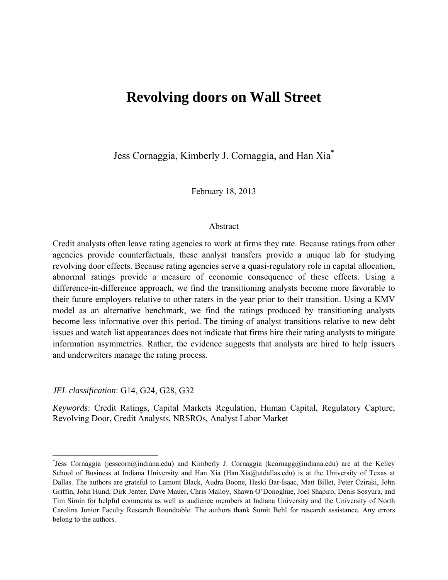# **Revolving doors on Wall Street**

Jess Cornaggia, Kimberly J. Cornaggia, and Han Xia**\***

February 18, 2013

### Abstract

Credit analysts often leave rating agencies to work at firms they rate. Because ratings from other agencies provide counterfactuals, these analyst transfers provide a unique lab for studying revolving door effects. Because rating agencies serve a quasi-regulatory role in capital allocation, abnormal ratings provide a measure of economic consequence of these effects. Using a difference-in-difference approach, we find the transitioning analysts become more favorable to their future employers relative to other raters in the year prior to their transition. Using a KMV model as an alternative benchmark, we find the ratings produced by transitioning analysts become less informative over this period. The timing of analyst transitions relative to new debt issues and watch list appearances does not indicate that firms hire their rating analysts to mitigate information asymmetries. Rather, the evidence suggests that analysts are hired to help issuers and underwriters manage the rating process.

*JEL classification*: G14, G24, G28, G32

*Keywords*: Credit Ratings, Capital Markets Regulation, Human Capital, Regulatory Capture, Revolving Door, Credit Analysts, NRSROs, Analyst Labor Market

<sup>\*</sup> Jess Cornaggia (jesscorn@indiana.edu) and Kimberly J. Cornaggia (kcornagg@indiana.edu) are at the Kelley School of Business at Indiana University and Han Xia (Han.Xia@utdallas.edu) is at the University of Texas at Dallas. The authors are grateful to Lamont Black, Audra Boone, Heski Bar-Isaac, Matt Billet, Peter Cziraki, John Griffin, John Hund, Dirk Jenter, Dave Mauer, Chris Malloy, Shawn O'Donoghue, Joel Shapiro, Denis Sosyura, and Tim Simin for helpful comments as well as audience members at Indiana University and the University of North Carolina Junior Faculty Research Roundtable. The authors thank Sumit Behl for research assistance. Any errors belong to the authors.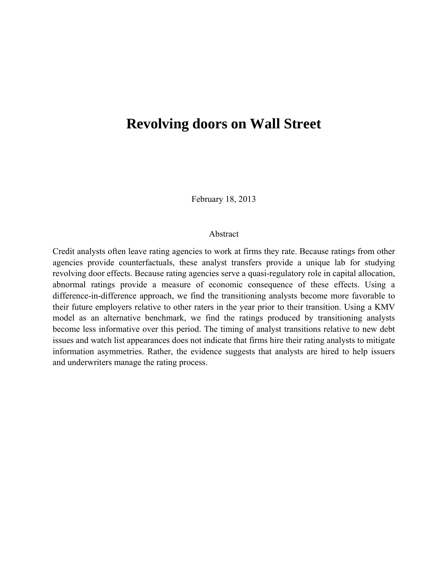# **Revolving doors on Wall Street**

February 18, 2013

#### Abstract

Credit analysts often leave rating agencies to work at firms they rate. Because ratings from other agencies provide counterfactuals, these analyst transfers provide a unique lab for studying revolving door effects. Because rating agencies serve a quasi-regulatory role in capital allocation, abnormal ratings provide a measure of economic consequence of these effects. Using a difference-in-difference approach, we find the transitioning analysts become more favorable to their future employers relative to other raters in the year prior to their transition. Using a KMV model as an alternative benchmark, we find the ratings produced by transitioning analysts become less informative over this period. The timing of analyst transitions relative to new debt issues and watch list appearances does not indicate that firms hire their rating analysts to mitigate information asymmetries. Rather, the evidence suggests that analysts are hired to help issuers and underwriters manage the rating process.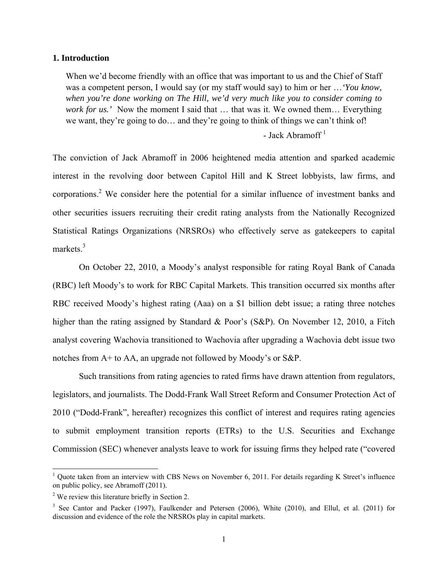#### **1. Introduction**

When we'd become friendly with an office that was important to us and the Chief of Staff was a competent person, I would say (or my staff would say) to him or her …*'You know, when you're done working on The Hill, we'd very much like you to consider coming to work for us.'* Now the moment I said that ... that was it. We owned them... Everything we want, they're going to do… and they're going to think of things we can't think of!

# - Jack Abramoff<sup>1</sup>

The conviction of Jack Abramoff in 2006 heightened media attention and sparked academic interest in the revolving door between Capitol Hill and K Street lobbyists, law firms, and corporations.<sup>2</sup> We consider here the potential for a similar influence of investment banks and other securities issuers recruiting their credit rating analysts from the Nationally Recognized Statistical Ratings Organizations (NRSROs) who effectively serve as gatekeepers to capital markets.<sup>3</sup>

On October 22, 2010, a Moody's analyst responsible for rating Royal Bank of Canada (RBC) left Moody's to work for RBC Capital Markets. This transition occurred six months after RBC received Moody's highest rating (Aaa) on a \$1 billion debt issue; a rating three notches higher than the rating assigned by Standard & Poor's (S&P). On November 12, 2010, a Fitch analyst covering Wachovia transitioned to Wachovia after upgrading a Wachovia debt issue two notches from A+ to AA, an upgrade not followed by Moody's or S&P.

Such transitions from rating agencies to rated firms have drawn attention from regulators, legislators, and journalists. The Dodd-Frank Wall Street Reform and Consumer Protection Act of 2010 ("Dodd-Frank", hereafter) recognizes this conflict of interest and requires rating agencies to submit employment transition reports (ETRs) to the U.S. Securities and Exchange Commission (SEC) whenever analysts leave to work for issuing firms they helped rate ("covered

<sup>&</sup>lt;sup>1</sup> Quote taken from an interview with CBS News on November 6, 2011. For details regarding K Street's influence on public policy, see Abramoff (2011).

 $2^2$  We review this literature briefly in Section 2.

<sup>&</sup>lt;sup>3</sup> See Cantor and Packer (1997), Faulkender and Petersen (2006), White (2010), and Ellul, et al. (2011) for discussion and evidence of the role the NRSROs play in capital markets.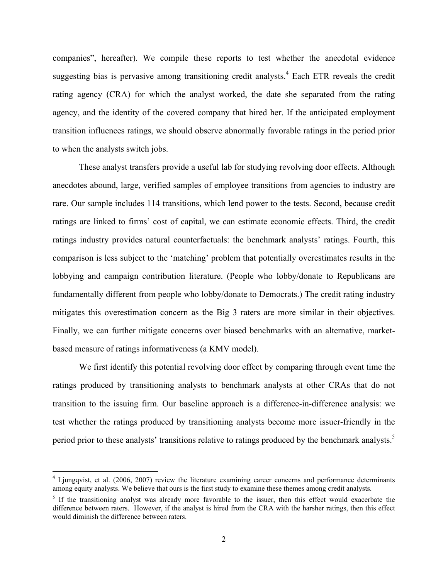companies", hereafter). We compile these reports to test whether the anecdotal evidence suggesting bias is pervasive among transitioning credit analysts.<sup>4</sup> Each ETR reveals the credit rating agency (CRA) for which the analyst worked, the date she separated from the rating agency, and the identity of the covered company that hired her. If the anticipated employment transition influences ratings, we should observe abnormally favorable ratings in the period prior to when the analysts switch jobs.

These analyst transfers provide a useful lab for studying revolving door effects. Although anecdotes abound, large, verified samples of employee transitions from agencies to industry are rare. Our sample includes 114 transitions, which lend power to the tests. Second, because credit ratings are linked to firms' cost of capital, we can estimate economic effects. Third, the credit ratings industry provides natural counterfactuals: the benchmark analysts' ratings. Fourth, this comparison is less subject to the 'matching' problem that potentially overestimates results in the lobbying and campaign contribution literature. (People who lobby/donate to Republicans are fundamentally different from people who lobby/donate to Democrats.) The credit rating industry mitigates this overestimation concern as the Big 3 raters are more similar in their objectives. Finally, we can further mitigate concerns over biased benchmarks with an alternative, marketbased measure of ratings informativeness (a KMV model).

We first identify this potential revolving door effect by comparing through event time the ratings produced by transitioning analysts to benchmark analysts at other CRAs that do not transition to the issuing firm. Our baseline approach is a difference-in-difference analysis: we test whether the ratings produced by transitioning analysts become more issuer-friendly in the period prior to these analysts' transitions relative to ratings produced by the benchmark analysts.<sup>5</sup>

<sup>&</sup>lt;sup>4</sup> Ljungqvist, et al. (2006, 2007) review the literature examining career concerns and performance determinants among equity analysts. We believe that ours is the first study to examine these themes among credit analysts.

<sup>&</sup>lt;sup>5</sup> If the transitioning analyst was already more favorable to the issuer, then this effect would exacerbate the difference between raters. However, if the analyst is hired from the CRA with the harsher ratings, then this effect would diminish the difference between raters.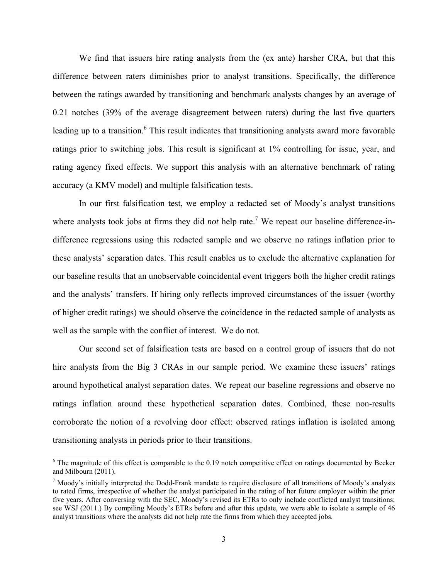We find that issuers hire rating analysts from the (ex ante) harsher CRA, but that this difference between raters diminishes prior to analyst transitions. Specifically, the difference between the ratings awarded by transitioning and benchmark analysts changes by an average of 0.21 notches (39% of the average disagreement between raters) during the last five quarters leading up to a transition.<sup>6</sup> This result indicates that transitioning analysts award more favorable ratings prior to switching jobs. This result is significant at 1% controlling for issue, year, and rating agency fixed effects. We support this analysis with an alternative benchmark of rating accuracy (a KMV model) and multiple falsification tests.

In our first falsification test, we employ a redacted set of Moody's analyst transitions where analysts took jobs at firms they did *not* help rate.<sup>7</sup> We repeat our baseline difference-indifference regressions using this redacted sample and we observe no ratings inflation prior to these analysts' separation dates. This result enables us to exclude the alternative explanation for our baseline results that an unobservable coincidental event triggers both the higher credit ratings and the analysts' transfers. If hiring only reflects improved circumstances of the issuer (worthy of higher credit ratings) we should observe the coincidence in the redacted sample of analysts as well as the sample with the conflict of interest. We do not.

Our second set of falsification tests are based on a control group of issuers that do not hire analysts from the Big 3 CRAs in our sample period. We examine these issuers' ratings around hypothetical analyst separation dates. We repeat our baseline regressions and observe no ratings inflation around these hypothetical separation dates. Combined, these non-results corroborate the notion of a revolving door effect: observed ratings inflation is isolated among transitioning analysts in periods prior to their transitions.

<sup>&</sup>lt;sup>6</sup> The magnitude of this effect is comparable to the 0.19 notch competitive effect on ratings documented by Becker and Milbourn (2011).

 $<sup>7</sup>$  Moody's initially interpreted the Dodd-Frank mandate to require disclosure of all transitions of Moody's analysts</sup> to rated firms, irrespective of whether the analyst participated in the rating of her future employer within the prior five years. After conversing with the SEC, Moody's revised its ETRs to only include conflicted analyst transitions; see WSJ (2011.) By compiling Moody's ETRs before and after this update, we were able to isolate a sample of 46 analyst transitions where the analysts did not help rate the firms from which they accepted jobs.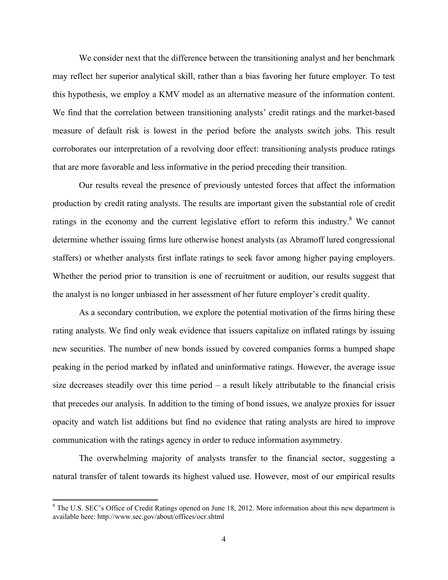We consider next that the difference between the transitioning analyst and her benchmark may reflect her superior analytical skill, rather than a bias favoring her future employer. To test this hypothesis, we employ a KMV model as an alternative measure of the information content. We find that the correlation between transitioning analysts' credit ratings and the market-based measure of default risk is lowest in the period before the analysts switch jobs. This result corroborates our interpretation of a revolving door effect: transitioning analysts produce ratings that are more favorable and less informative in the period preceding their transition.

Our results reveal the presence of previously untested forces that affect the information production by credit rating analysts. The results are important given the substantial role of credit ratings in the economy and the current legislative effort to reform this industry.<sup>8</sup> We cannot determine whether issuing firms lure otherwise honest analysts (as Abramoff lured congressional staffers) or whether analysts first inflate ratings to seek favor among higher paying employers. Whether the period prior to transition is one of recruitment or audition, our results suggest that the analyst is no longer unbiased in her assessment of her future employer's credit quality.

As a secondary contribution, we explore the potential motivation of the firms hiring these rating analysts. We find only weak evidence that issuers capitalize on inflated ratings by issuing new securities. The number of new bonds issued by covered companies forms a humped shape peaking in the period marked by inflated and uninformative ratings. However, the average issue size decreases steadily over this time period – a result likely attributable to the financial crisis that precedes our analysis. In addition to the timing of bond issues, we analyze proxies for issuer opacity and watch list additions but find no evidence that rating analysts are hired to improve communication with the ratings agency in order to reduce information asymmetry.

The overwhelming majority of analysts transfer to the financial sector, suggesting a natural transfer of talent towards its highest valued use. However, most of our empirical results

<sup>&</sup>lt;sup>8</sup> The U.S. SEC's Office of Credit Ratings opened on June 18, 2012. More information about this new department is available here: http://www.sec.gov/about/offices/ocr.shtml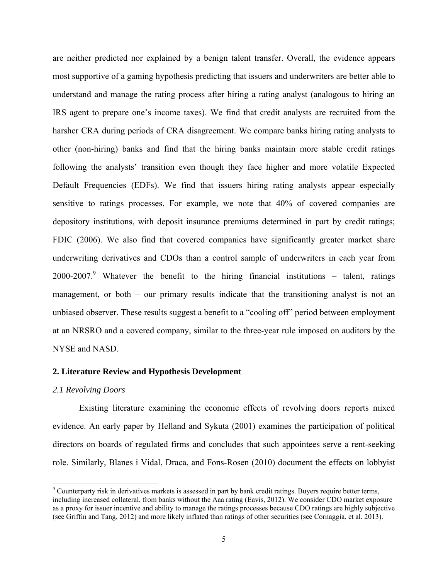are neither predicted nor explained by a benign talent transfer. Overall, the evidence appears most supportive of a gaming hypothesis predicting that issuers and underwriters are better able to understand and manage the rating process after hiring a rating analyst (analogous to hiring an IRS agent to prepare one's income taxes). We find that credit analysts are recruited from the harsher CRA during periods of CRA disagreement. We compare banks hiring rating analysts to other (non-hiring) banks and find that the hiring banks maintain more stable credit ratings following the analysts' transition even though they face higher and more volatile Expected Default Frequencies (EDFs). We find that issuers hiring rating analysts appear especially sensitive to ratings processes. For example, we note that 40% of covered companies are depository institutions, with deposit insurance premiums determined in part by credit ratings; FDIC (2006). We also find that covered companies have significantly greater market share underwriting derivatives and CDOs than a control sample of underwriters in each year from 2000-2007.<sup>9</sup> Whatever the benefit to the hiring financial institutions  $-$  talent, ratings management, or both – our primary results indicate that the transitioning analyst is not an unbiased observer. These results suggest a benefit to a "cooling off" period between employment at an NRSRO and a covered company, similar to the three-year rule imposed on auditors by the NYSE and NASD.

#### **2. Literature Review and Hypothesis Development**

#### *2.1 Revolving Doors*

Existing literature examining the economic effects of revolving doors reports mixed evidence. An early paper by Helland and Sykuta (2001) examines the participation of political directors on boards of regulated firms and concludes that such appointees serve a rent-seeking role. Similarly, Blanes i Vidal, Draca, and Fons-Rosen (2010) document the effects on lobbyist

 $9^9$  Counterparty risk in derivatives markets is assessed in part by bank credit ratings. Buyers require better terms, including increased collateral, from banks without the Aaa rating (Eavis, 2012). We consider CDO market exposure as a proxy for issuer incentive and ability to manage the ratings processes because CDO ratings are highly subjective (see Griffin and Tang, 2012) and more likely inflated than ratings of other securities (see Cornaggia, et al. 2013).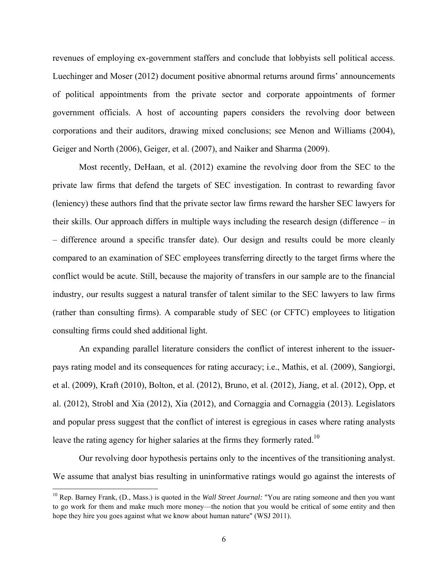revenues of employing ex-government staffers and conclude that lobbyists sell political access. Luechinger and Moser (2012) document positive abnormal returns around firms' announcements of political appointments from the private sector and corporate appointments of former government officials. A host of accounting papers considers the revolving door between corporations and their auditors, drawing mixed conclusions; see Menon and Williams (2004), Geiger and North (2006), Geiger, et al. (2007), and Naiker and Sharma (2009).

Most recently, DeHaan, et al. (2012) examine the revolving door from the SEC to the private law firms that defend the targets of SEC investigation. In contrast to rewarding favor (leniency) these authors find that the private sector law firms reward the harsher SEC lawyers for their skills. Our approach differs in multiple ways including the research design (difference – in – difference around a specific transfer date). Our design and results could be more cleanly compared to an examination of SEC employees transferring directly to the target firms where the conflict would be acute. Still, because the majority of transfers in our sample are to the financial industry, our results suggest a natural transfer of talent similar to the SEC lawyers to law firms (rather than consulting firms). A comparable study of SEC (or CFTC) employees to litigation consulting firms could shed additional light.

An expanding parallel literature considers the conflict of interest inherent to the issuerpays rating model and its consequences for rating accuracy; i.e., Mathis, et al. (2009), Sangiorgi, et al. (2009), Kraft (2010), Bolton, et al. (2012), Bruno, et al. (2012), Jiang, et al. (2012), Opp, et al. (2012), Strobl and Xia (2012), Xia (2012), and Cornaggia and Cornaggia (2013). Legislators and popular press suggest that the conflict of interest is egregious in cases where rating analysts leave the rating agency for higher salaries at the firms they formerly rated.<sup>10</sup>

Our revolving door hypothesis pertains only to the incentives of the transitioning analyst. We assume that analyst bias resulting in uninformative ratings would go against the interests of

<sup>10</sup> Rep. Barney Frank, (D., Mass.) is quoted in the *Wall Street Journal:* "You are rating someone and then you want to go work for them and make much more money—the notion that you would be critical of some entity and then hope they hire you goes against what we know about human nature" (WSJ 2011).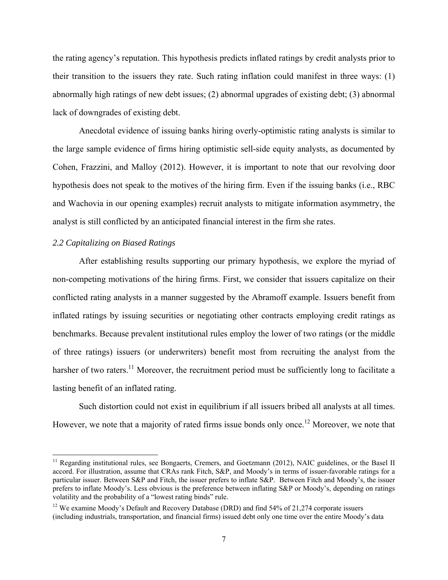the rating agency's reputation. This hypothesis predicts inflated ratings by credit analysts prior to their transition to the issuers they rate. Such rating inflation could manifest in three ways: (1) abnormally high ratings of new debt issues; (2) abnormal upgrades of existing debt; (3) abnormal lack of downgrades of existing debt.

Anecdotal evidence of issuing banks hiring overly-optimistic rating analysts is similar to the large sample evidence of firms hiring optimistic sell-side equity analysts, as documented by Cohen, Frazzini, and Malloy (2012). However, it is important to note that our revolving door hypothesis does not speak to the motives of the hiring firm. Even if the issuing banks (i.e., RBC and Wachovia in our opening examples) recruit analysts to mitigate information asymmetry, the analyst is still conflicted by an anticipated financial interest in the firm she rates.

# *2.2 Capitalizing on Biased Ratings*

After establishing results supporting our primary hypothesis, we explore the myriad of non-competing motivations of the hiring firms. First, we consider that issuers capitalize on their conflicted rating analysts in a manner suggested by the Abramoff example. Issuers benefit from inflated ratings by issuing securities or negotiating other contracts employing credit ratings as benchmarks. Because prevalent institutional rules employ the lower of two ratings (or the middle of three ratings) issuers (or underwriters) benefit most from recruiting the analyst from the harsher of two raters.<sup>11</sup> Moreover, the recruitment period must be sufficiently long to facilitate a lasting benefit of an inflated rating.

Such distortion could not exist in equilibrium if all issuers bribed all analysts at all times. However, we note that a majority of rated firms issue bonds only once.<sup>12</sup> Moreover, we note that

<sup>&</sup>lt;sup>11</sup> Regarding institutional rules, see Bongaerts, Cremers, and Goetzmann (2012), NAIC guidelines, or the Basel II accord. For illustration, assume that CRAs rank Fitch, S&P, and Moody's in terms of issuer-favorable ratings for a particular issuer. Between S&P and Fitch, the issuer prefers to inflate S&P. Between Fitch and Moody's, the issuer prefers to inflate Moody's. Less obvious is the preference between inflating S&P or Moody's, depending on ratings volatility and the probability of a "lowest rating binds" rule.

<sup>&</sup>lt;sup>12</sup> We examine Moody's Default and Recovery Database (DRD) and find  $54\%$  of 21,274 corporate issuers (including industrials, transportation, and financial firms) issued debt only one time over the entire Moody's data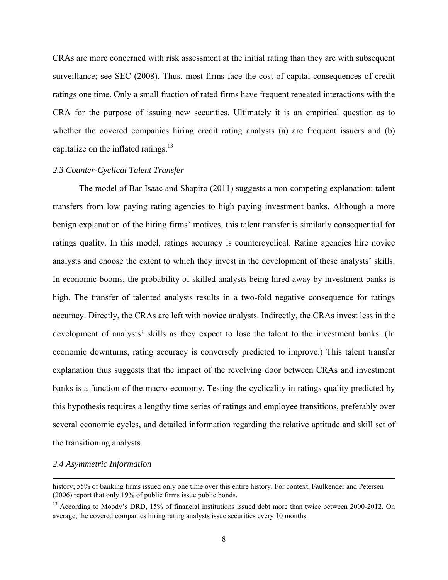CRAs are more concerned with risk assessment at the initial rating than they are with subsequent surveillance; see SEC (2008). Thus, most firms face the cost of capital consequences of credit ratings one time. Only a small fraction of rated firms have frequent repeated interactions with the CRA for the purpose of issuing new securities. Ultimately it is an empirical question as to whether the covered companies hiring credit rating analysts (a) are frequent issuers and (b) capitalize on the inflated ratings. $13$ 

#### *2.3 Counter-Cyclical Talent Transfer*

The model of Bar-Isaac and Shapiro (2011) suggests a non-competing explanation: talent transfers from low paying rating agencies to high paying investment banks. Although a more benign explanation of the hiring firms' motives, this talent transfer is similarly consequential for ratings quality. In this model, ratings accuracy is countercyclical. Rating agencies hire novice analysts and choose the extent to which they invest in the development of these analysts' skills. In economic booms, the probability of skilled analysts being hired away by investment banks is high. The transfer of talented analysts results in a two-fold negative consequence for ratings accuracy. Directly, the CRAs are left with novice analysts. Indirectly, the CRAs invest less in the development of analysts' skills as they expect to lose the talent to the investment banks. (In economic downturns, rating accuracy is conversely predicted to improve.) This talent transfer explanation thus suggests that the impact of the revolving door between CRAs and investment banks is a function of the macro-economy. Testing the cyclicality in ratings quality predicted by this hypothesis requires a lengthy time series of ratings and employee transitions, preferably over several economic cycles, and detailed information regarding the relative aptitude and skill set of the transitioning analysts.

#### *2.4 Asymmetric Information*

<u> 1989 - Johann Stein, marwolaethau a gweledydd a ganrad y ganrad y ganrad y ganrad y ganrad y ganrad y ganrad</u>

history; 55% of banking firms issued only one time over this entire history. For context, Faulkender and Petersen (2006) report that only 19% of public firms issue public bonds.

<sup>&</sup>lt;sup>13</sup> According to Moody's DRD, 15% of financial institutions issued debt more than twice between 2000-2012. On average, the covered companies hiring rating analysts issue securities every 10 months.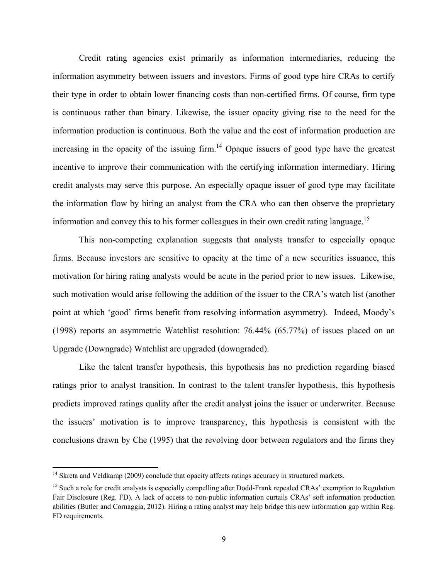Credit rating agencies exist primarily as information intermediaries, reducing the information asymmetry between issuers and investors. Firms of good type hire CRAs to certify their type in order to obtain lower financing costs than non-certified firms. Of course, firm type is continuous rather than binary. Likewise, the issuer opacity giving rise to the need for the information production is continuous. Both the value and the cost of information production are increasing in the opacity of the issuing firm. $14$  Opaque issuers of good type have the greatest incentive to improve their communication with the certifying information intermediary. Hiring credit analysts may serve this purpose. An especially opaque issuer of good type may facilitate the information flow by hiring an analyst from the CRA who can then observe the proprietary information and convey this to his former colleagues in their own credit rating language.<sup>15</sup>

This non-competing explanation suggests that analysts transfer to especially opaque firms. Because investors are sensitive to opacity at the time of a new securities issuance, this motivation for hiring rating analysts would be acute in the period prior to new issues. Likewise, such motivation would arise following the addition of the issuer to the CRA's watch list (another point at which 'good' firms benefit from resolving information asymmetry). Indeed, Moody's (1998) reports an asymmetric Watchlist resolution: 76.44% (65.77%) of issues placed on an Upgrade (Downgrade) Watchlist are upgraded (downgraded).

Like the talent transfer hypothesis, this hypothesis has no prediction regarding biased ratings prior to analyst transition. In contrast to the talent transfer hypothesis, this hypothesis predicts improved ratings quality after the credit analyst joins the issuer or underwriter. Because the issuers' motivation is to improve transparency, this hypothesis is consistent with the conclusions drawn by Che (1995) that the revolving door between regulators and the firms they

<sup>&</sup>lt;sup>14</sup> Skreta and Veldkamp (2009) conclude that opacity affects ratings accuracy in structured markets.

<sup>&</sup>lt;sup>15</sup> Such a role for credit analysts is especially compelling after Dodd-Frank repealed CRAs' exemption to Regulation Fair Disclosure (Reg. FD). A lack of access to non-public information curtails CRAs' soft information production abilities (Butler and Cornaggia, 2012). Hiring a rating analyst may help bridge this new information gap within Reg. FD requirements.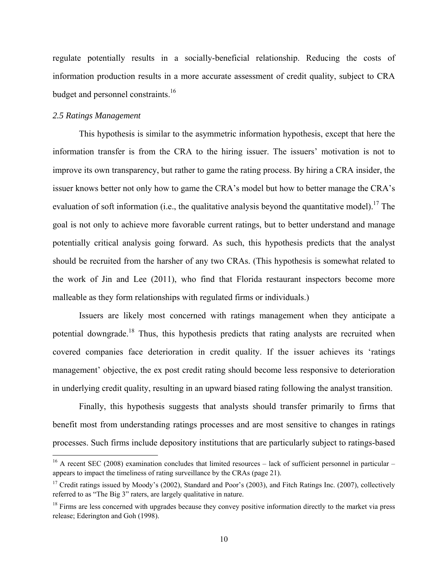regulate potentially results in a socially-beneficial relationship. Reducing the costs of information production results in a more accurate assessment of credit quality, subject to CRA budget and personnel constraints.<sup>16</sup>

#### *2.5 Ratings Management*

 This hypothesis is similar to the asymmetric information hypothesis, except that here the information transfer is from the CRA to the hiring issuer. The issuers' motivation is not to improve its own transparency, but rather to game the rating process. By hiring a CRA insider, the issuer knows better not only how to game the CRA's model but how to better manage the CRA's evaluation of soft information (i.e., the qualitative analysis beyond the quantitative model).<sup>17</sup> The goal is not only to achieve more favorable current ratings, but to better understand and manage potentially critical analysis going forward. As such, this hypothesis predicts that the analyst should be recruited from the harsher of any two CRAs. (This hypothesis is somewhat related to the work of Jin and Lee (2011), who find that Florida restaurant inspectors become more malleable as they form relationships with regulated firms or individuals.)

Issuers are likely most concerned with ratings management when they anticipate a potential downgrade.<sup>18</sup> Thus, this hypothesis predicts that rating analysts are recruited when covered companies face deterioration in credit quality. If the issuer achieves its 'ratings management' objective, the ex post credit rating should become less responsive to deterioration in underlying credit quality, resulting in an upward biased rating following the analyst transition.

Finally, this hypothesis suggests that analysts should transfer primarily to firms that benefit most from understanding ratings processes and are most sensitive to changes in ratings processes. Such firms include depository institutions that are particularly subject to ratings-based

 $16$  A recent SEC (2008) examination concludes that limited resources – lack of sufficient personnel in particular – appears to impact the timeliness of rating surveillance by the CRAs (page 21).

<sup>&</sup>lt;sup>17</sup> Credit ratings issued by Moody's (2002), Standard and Poor's (2003), and Fitch Ratings Inc. (2007), collectively referred to as "The Big 3" raters, are largely qualitative in nature.

 $18$  Firms are less concerned with upgrades because they convey positive information directly to the market via press release; Ederington and Goh (1998).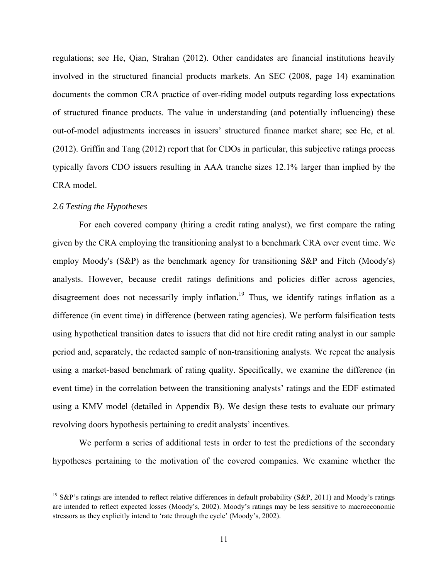regulations; see He, Qian, Strahan (2012). Other candidates are financial institutions heavily involved in the structured financial products markets. An SEC (2008, page 14) examination documents the common CRA practice of over-riding model outputs regarding loss expectations of structured finance products. The value in understanding (and potentially influencing) these out-of-model adjustments increases in issuers' structured finance market share; see He, et al. (2012). Griffin and Tang (2012) report that for CDOs in particular, this subjective ratings process typically favors CDO issuers resulting in AAA tranche sizes 12.1% larger than implied by the CRA model.

## *2.6 Testing the Hypotheses*

For each covered company (hiring a credit rating analyst), we first compare the rating given by the CRA employing the transitioning analyst to a benchmark CRA over event time. We employ Moody's (S&P) as the benchmark agency for transitioning S&P and Fitch (Moody's) analysts. However, because credit ratings definitions and policies differ across agencies, disagreement does not necessarily imply inflation.<sup>19</sup> Thus, we identify ratings inflation as a difference (in event time) in difference (between rating agencies). We perform falsification tests using hypothetical transition dates to issuers that did not hire credit rating analyst in our sample period and, separately, the redacted sample of non-transitioning analysts. We repeat the analysis using a market-based benchmark of rating quality. Specifically, we examine the difference (in event time) in the correlation between the transitioning analysts' ratings and the EDF estimated using a KMV model (detailed in Appendix B). We design these tests to evaluate our primary revolving doors hypothesis pertaining to credit analysts' incentives.

We perform a series of additional tests in order to test the predictions of the secondary hypotheses pertaining to the motivation of the covered companies. We examine whether the

<sup>&</sup>lt;sup>19</sup> S&P's ratings are intended to reflect relative differences in default probability (S&P, 2011) and Moody's ratings are intended to reflect expected losses (Moody's, 2002). Moody's ratings may be less sensitive to macroeconomic stressors as they explicitly intend to 'rate through the cycle' (Moody's, 2002).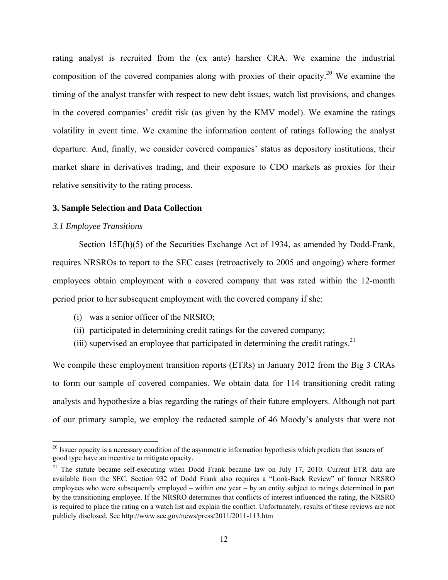rating analyst is recruited from the (ex ante) harsher CRA. We examine the industrial composition of the covered companies along with proxies of their opacity.<sup>20</sup> We examine the timing of the analyst transfer with respect to new debt issues, watch list provisions, and changes in the covered companies' credit risk (as given by the KMV model). We examine the ratings volatility in event time. We examine the information content of ratings following the analyst departure. And, finally, we consider covered companies' status as depository institutions, their market share in derivatives trading, and their exposure to CDO markets as proxies for their relative sensitivity to the rating process.

#### **3. Sample Selection and Data Collection**

#### *3.1 Employee Transitions*

Section 15E(h)(5) of the Securities Exchange Act of 1934, as amended by Dodd-Frank, requires NRSROs to report to the SEC cases (retroactively to 2005 and ongoing) where former employees obtain employment with a covered company that was rated within the 12-month period prior to her subsequent employment with the covered company if she:

- (i) was a senior officer of the NRSRO;
- (ii) participated in determining credit ratings for the covered company;
- (iii) supervised an employee that participated in determining the credit ratings.<sup>21</sup>

We compile these employment transition reports (ETRs) in January 2012 from the Big 3 CRAs to form our sample of covered companies. We obtain data for 114 transitioning credit rating analysts and hypothesize a bias regarding the ratings of their future employers. Although not part of our primary sample, we employ the redacted sample of 46 Moody's analysts that were not

<sup>&</sup>lt;sup>20</sup> Issuer opacity is a necessary condition of the asymmetric information hypothesis which predicts that issuers of good type have an incentive to mitigate opacity.

 $21$  The statute became self-executing when Dodd Frank became law on July 17, 2010. Current ETR data are available from the SEC. Section 932 of Dodd Frank also requires a "Look-Back Review" of former NRSRO employees who were subsequently employed – within one year – by an entity subject to ratings determined in part by the transitioning employee. If the NRSRO determines that conflicts of interest influenced the rating, the NRSRO is required to place the rating on a watch list and explain the conflict. Unfortunately, results of these reviews are not publicly disclosed. See http://www.sec.gov/news/press/2011/2011-113.htm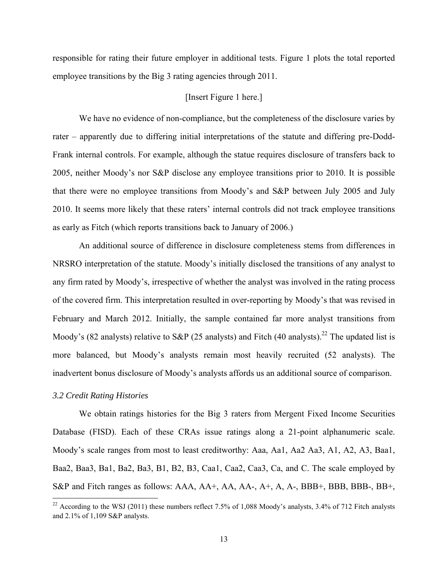responsible for rating their future employer in additional tests. Figure 1 plots the total reported employee transitions by the Big 3 rating agencies through 2011.

# [Insert Figure 1 here.]

We have no evidence of non-compliance, but the completeness of the disclosure varies by rater – apparently due to differing initial interpretations of the statute and differing pre-Dodd-Frank internal controls. For example, although the statue requires disclosure of transfers back to 2005, neither Moody's nor S&P disclose any employee transitions prior to 2010. It is possible that there were no employee transitions from Moody's and S&P between July 2005 and July 2010. It seems more likely that these raters' internal controls did not track employee transitions as early as Fitch (which reports transitions back to January of 2006.)

An additional source of difference in disclosure completeness stems from differences in NRSRO interpretation of the statute. Moody's initially disclosed the transitions of any analyst to any firm rated by Moody's, irrespective of whether the analyst was involved in the rating process of the covered firm. This interpretation resulted in over-reporting by Moody's that was revised in February and March 2012. Initially, the sample contained far more analyst transitions from Moody's (82 analysts) relative to S&P (25 analysts) and Fitch (40 analysts).<sup>22</sup> The updated list is more balanced, but Moody's analysts remain most heavily recruited (52 analysts). The inadvertent bonus disclosure of Moody's analysts affords us an additional source of comparison.

#### *3.2 Credit Rating Histories*

 We obtain ratings histories for the Big 3 raters from Mergent Fixed Income Securities Database (FISD). Each of these CRAs issue ratings along a 21-point alphanumeric scale. Moody's scale ranges from most to least creditworthy: Aaa, Aa1, Aa2 Aa3, A1, A2, A3, Baa1, Baa2, Baa3, Ba1, Ba2, Ba3, B1, B2, B3, Caa1, Caa2, Caa3, Ca, and C. The scale employed by S&P and Fitch ranges as follows: AAA, AA+, AA, AA-, A+, A, A-, BBB+, BBB, BBB-, BB+,

 $22$  According to the WSJ (2011) these numbers reflect 7.5% of 1,088 Moody's analysts, 3.4% of 712 Fitch analysts and 2.1% of 1,109 S&P analysts.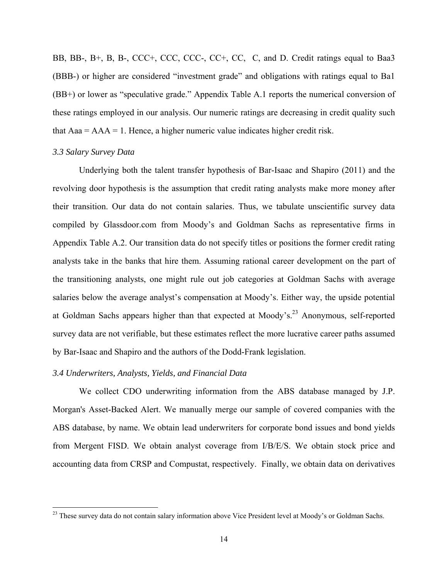BB, BB-, B+, B, B-, CCC+, CCC, CCC-, CC+, CC, C, and D. Credit ratings equal to Baa3 (BBB-) or higher are considered "investment grade" and obligations with ratings equal to Ba1 (BB+) or lower as "speculative grade." Appendix Table A.1 reports the numerical conversion of these ratings employed in our analysis. Our numeric ratings are decreasing in credit quality such that  $Aaa = AAA = 1$ . Hence, a higher numeric value indicates higher credit risk.

#### *3.3 Salary Survey Data*

Underlying both the talent transfer hypothesis of Bar-Isaac and Shapiro (2011) and the revolving door hypothesis is the assumption that credit rating analysts make more money after their transition. Our data do not contain salaries. Thus, we tabulate unscientific survey data compiled by Glassdoor.com from Moody's and Goldman Sachs as representative firms in Appendix Table A.2. Our transition data do not specify titles or positions the former credit rating analysts take in the banks that hire them. Assuming rational career development on the part of the transitioning analysts, one might rule out job categories at Goldman Sachs with average salaries below the average analyst's compensation at Moody's. Either way, the upside potential at Goldman Sachs appears higher than that expected at Moody's.<sup>23</sup> Anonymous, self-reported survey data are not verifiable, but these estimates reflect the more lucrative career paths assumed by Bar-Isaac and Shapiro and the authors of the Dodd-Frank legislation.

#### *3.4 Underwriters, Analysts, Yields, and Financial Data*

We collect CDO underwriting information from the ABS database managed by J.P. Morgan's Asset-Backed Alert. We manually merge our sample of covered companies with the ABS database, by name. We obtain lead underwriters for corporate bond issues and bond yields from Mergent FISD. We obtain analyst coverage from I/B/E/S. We obtain stock price and accounting data from CRSP and Compustat, respectively. Finally, we obtain data on derivatives

<sup>&</sup>lt;sup>23</sup> These survey data do not contain salary information above Vice President level at Moody's or Goldman Sachs.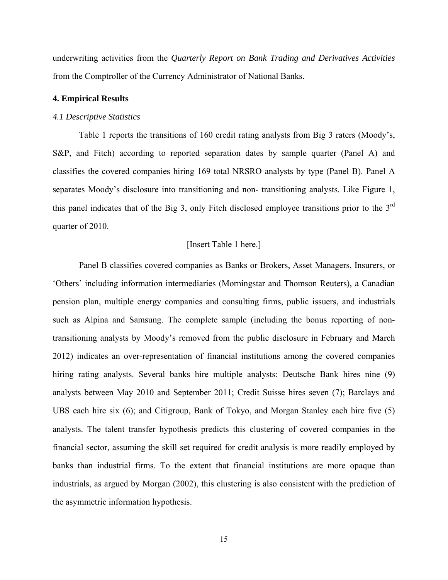underwriting activities from the *Quarterly Report on Bank Trading and Derivatives Activities* from the Comptroller of the Currency Administrator of National Banks.

## **4. Empirical Results**

#### *4.1 Descriptive Statistics*

Table 1 reports the transitions of 160 credit rating analysts from Big 3 raters (Moody's, S&P, and Fitch) according to reported separation dates by sample quarter (Panel A) and classifies the covered companies hiring 169 total NRSRO analysts by type (Panel B). Panel A separates Moody's disclosure into transitioning and non- transitioning analysts. Like Figure 1, this panel indicates that of the Big 3, only Fitch disclosed employee transitions prior to the 3rd quarter of 2010.

# [Insert Table 1 here.]

Panel B classifies covered companies as Banks or Brokers, Asset Managers, Insurers, or 'Others' including information intermediaries (Morningstar and Thomson Reuters), a Canadian pension plan, multiple energy companies and consulting firms, public issuers, and industrials such as Alpina and Samsung. The complete sample (including the bonus reporting of nontransitioning analysts by Moody's removed from the public disclosure in February and March 2012) indicates an over-representation of financial institutions among the covered companies hiring rating analysts. Several banks hire multiple analysts: Deutsche Bank hires nine (9) analysts between May 2010 and September 2011; Credit Suisse hires seven (7); Barclays and UBS each hire six (6); and Citigroup, Bank of Tokyo, and Morgan Stanley each hire five (5) analysts. The talent transfer hypothesis predicts this clustering of covered companies in the financial sector, assuming the skill set required for credit analysis is more readily employed by banks than industrial firms. To the extent that financial institutions are more opaque than industrials, as argued by Morgan (2002), this clustering is also consistent with the prediction of the asymmetric information hypothesis.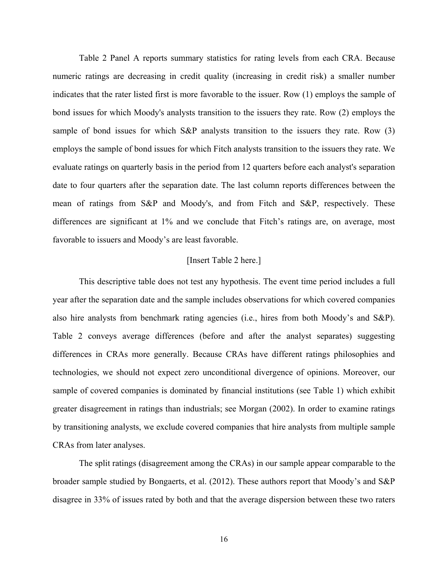Table 2 Panel A reports summary statistics for rating levels from each CRA. Because numeric ratings are decreasing in credit quality (increasing in credit risk) a smaller number indicates that the rater listed first is more favorable to the issuer. Row (1) employs the sample of bond issues for which Moody's analysts transition to the issuers they rate. Row (2) employs the sample of bond issues for which S&P analysts transition to the issuers they rate. Row (3) employs the sample of bond issues for which Fitch analysts transition to the issuers they rate. We evaluate ratings on quarterly basis in the period from 12 quarters before each analyst's separation date to four quarters after the separation date. The last column reports differences between the mean of ratings from S&P and Moody's, and from Fitch and S&P, respectively. These differences are significant at 1% and we conclude that Fitch's ratings are, on average, most favorable to issuers and Moody's are least favorable.

# [Insert Table 2 here.]

This descriptive table does not test any hypothesis. The event time period includes a full year after the separation date and the sample includes observations for which covered companies also hire analysts from benchmark rating agencies (i.e., hires from both Moody's and S&P). Table 2 conveys average differences (before and after the analyst separates) suggesting differences in CRAs more generally. Because CRAs have different ratings philosophies and technologies, we should not expect zero unconditional divergence of opinions. Moreover, our sample of covered companies is dominated by financial institutions (see Table 1) which exhibit greater disagreement in ratings than industrials; see Morgan (2002). In order to examine ratings by transitioning analysts, we exclude covered companies that hire analysts from multiple sample CRAs from later analyses.

 The split ratings (disagreement among the CRAs) in our sample appear comparable to the broader sample studied by Bongaerts, et al. (2012). These authors report that Moody's and S&P disagree in 33% of issues rated by both and that the average dispersion between these two raters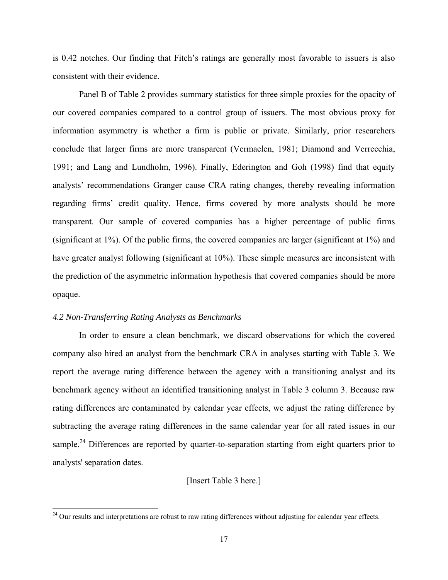is 0.42 notches. Our finding that Fitch's ratings are generally most favorable to issuers is also consistent with their evidence.

Panel B of Table 2 provides summary statistics for three simple proxies for the opacity of our covered companies compared to a control group of issuers. The most obvious proxy for information asymmetry is whether a firm is public or private. Similarly, prior researchers conclude that larger firms are more transparent (Vermaelen, 1981; Diamond and Verrecchia, 1991; and Lang and Lundholm, 1996). Finally, Ederington and Goh (1998) find that equity analysts' recommendations Granger cause CRA rating changes, thereby revealing information regarding firms' credit quality. Hence, firms covered by more analysts should be more transparent. Our sample of covered companies has a higher percentage of public firms (significant at 1%). Of the public firms, the covered companies are larger (significant at 1%) and have greater analyst following (significant at 10%). These simple measures are inconsistent with the prediction of the asymmetric information hypothesis that covered companies should be more opaque.

# *4.2 Non-Transferring Rating Analysts as Benchmarks*

 In order to ensure a clean benchmark, we discard observations for which the covered company also hired an analyst from the benchmark CRA in analyses starting with Table 3. We report the average rating difference between the agency with a transitioning analyst and its benchmark agency without an identified transitioning analyst in Table 3 column 3. Because raw rating differences are contaminated by calendar year effects, we adjust the rating difference by subtracting the average rating differences in the same calendar year for all rated issues in our sample.<sup>24</sup> Differences are reported by quarter-to-separation starting from eight quarters prior to analysts' separation dates.

# [Insert Table 3 here.]

 $24$  Our results and interpretations are robust to raw rating differences without adjusting for calendar year effects.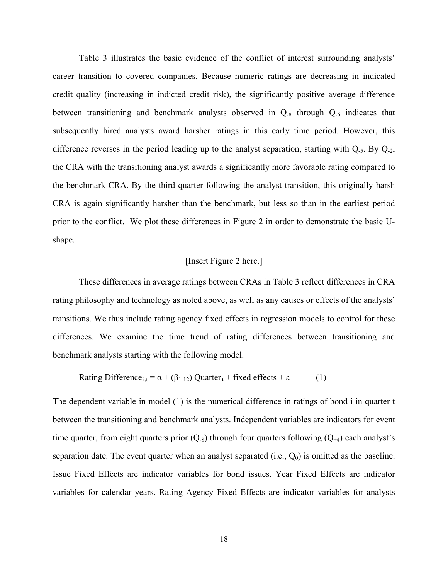Table 3 illustrates the basic evidence of the conflict of interest surrounding analysts' career transition to covered companies. Because numeric ratings are decreasing in indicated credit quality (increasing in indicted credit risk), the significantly positive average difference between transitioning and benchmark analysts observed in Q-8 through Q-6 indicates that subsequently hired analysts award harsher ratings in this early time period. However, this difference reverses in the period leading up to the analyst separation, starting with  $Q_5$ . By  $Q_2$ , the CRA with the transitioning analyst awards a significantly more favorable rating compared to the benchmark CRA. By the third quarter following the analyst transition, this originally harsh CRA is again significantly harsher than the benchmark, but less so than in the earliest period prior to the conflict. We plot these differences in Figure 2 in order to demonstrate the basic Ushape.

#### [Insert Figure 2 here.]

These differences in average ratings between CRAs in Table 3 reflect differences in CRA rating philosophy and technology as noted above, as well as any causes or effects of the analysts' transitions. We thus include rating agency fixed effects in regression models to control for these differences. We examine the time trend of rating differences between transitioning and benchmark analysts starting with the following model.

Rating Difference<sub>i,t</sub> = 
$$
\alpha + (\beta_{1-12})
$$
 Quarterly<sub>t</sub> + fixed effects +  $\epsilon$  (1)

The dependent variable in model (1) is the numerical difference in ratings of bond i in quarter t between the transitioning and benchmark analysts. Independent variables are indicators for event time quarter, from eight quarters prior  $(Q_8)$  through four quarters following  $(Q_{+4})$  each analyst's separation date. The event quarter when an analyst separated (i.e.,  $Q_0$ ) is omitted as the baseline. Issue Fixed Effects are indicator variables for bond issues. Year Fixed Effects are indicator variables for calendar years. Rating Agency Fixed Effects are indicator variables for analysts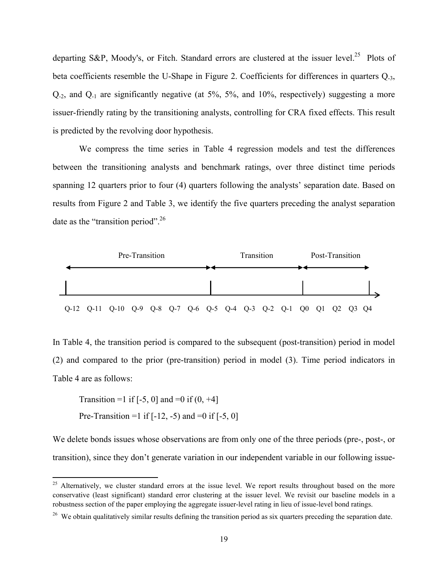departing S&P, Moody's, or Fitch. Standard errors are clustered at the issuer level.<sup>25</sup> Plots of beta coefficients resemble the U-Shape in Figure 2. Coefficients for differences in quarters Q-3, Q-2, and Q-1 are significantly negative (at 5%, 5%, and 10%, respectively) suggesting a more issuer-friendly rating by the transitioning analysts, controlling for CRA fixed effects. This result is predicted by the revolving door hypothesis.

We compress the time series in Table 4 regression models and test the differences between the transitioning analysts and benchmark ratings, over three distinct time periods spanning 12 quarters prior to four (4) quarters following the analysts' separation date. Based on results from Figure 2 and Table 3, we identify the five quarters preceding the analyst separation date as the "transition period".<sup>26</sup>



In Table 4, the transition period is compared to the subsequent (post-transition) period in model (2) and compared to the prior (pre-transition) period in model (3). Time period indicators in Table 4 are as follows:

Transition =1 if  $[-5, 0]$  and =0 if  $(0, +4]$ Pre-Transition =1 if  $[-12, -5)$  and =0 if  $[-5, 0]$ 

We delete bonds issues whose observations are from only one of the three periods (pre-, post-, or transition), since they don't generate variation in our independent variable in our following issue-

<sup>&</sup>lt;sup>25</sup> Alternatively, we cluster standard errors at the issue level. We report results throughout based on the more conservative (least significant) standard error clustering at the issuer level. We revisit our baseline models in a robustness section of the paper employing the aggregate issuer-level rating in lieu of issue-level bond ratings.

<sup>&</sup>lt;sup>26</sup> We obtain qualitatively similar results defining the transition period as six quarters preceding the separation date.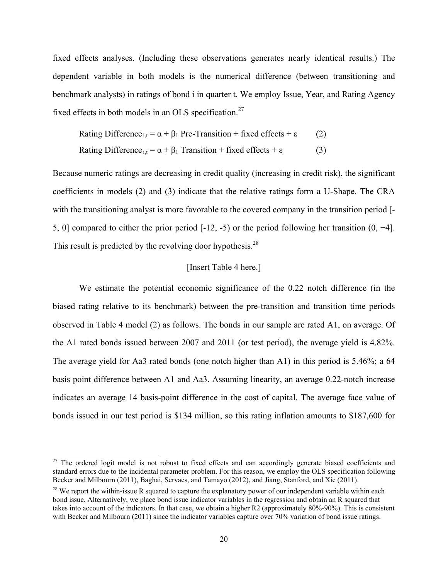fixed effects analyses. (Including these observations generates nearly identical results.) The dependent variable in both models is the numerical difference (between transitioning and benchmark analysts) in ratings of bond i in quarter t. We employ Issue, Year, and Rating Agency fixed effects in both models in an OLS specification.<sup>27</sup>

Rating Difference<sub>i,t</sub> = 
$$
\alpha + \beta_1
$$
 Pre-Transformation + fixed effects +  $\varepsilon$ 

\n(2)

\nRating Difference<sub>i,t</sub> =  $\alpha + \beta_1$  Transition + fixed effects +  $\varepsilon$ 

\n(3)

Because numeric ratings are decreasing in credit quality (increasing in credit risk), the significant coefficients in models (2) and (3) indicate that the relative ratings form a U-Shape. The CRA with the transitioning analyst is more favorable to the covered company in the transition period [- 5, 0] compared to either the prior period [-12, -5) or the period following her transition (0, +4]. This result is predicted by the revolving door hypothesis.<sup>28</sup>

# [Insert Table 4 here.]

We estimate the potential economic significance of the 0.22 notch difference (in the biased rating relative to its benchmark) between the pre-transition and transition time periods observed in Table 4 model (2) as follows. The bonds in our sample are rated A1, on average. Of the A1 rated bonds issued between 2007 and 2011 (or test period), the average yield is 4.82%. The average yield for Aa3 rated bonds (one notch higher than A1) in this period is 5.46%; a 64 basis point difference between A1 and Aa3. Assuming linearity, an average 0.22-notch increase indicates an average 14 basis-point difference in the cost of capital. The average face value of bonds issued in our test period is \$134 million, so this rating inflation amounts to \$187,600 for

<sup>&</sup>lt;sup>27</sup> The ordered logit model is not robust to fixed effects and can accordingly generate biased coefficients and standard errors due to the incidental parameter problem. For this reason, we employ the OLS specification following Becker and Milbourn (2011), Baghai, Servaes, and Tamayo (2012), and Jiang, Stanford, and Xie (2011).

<sup>&</sup>lt;sup>28</sup> We report the within-issue R squared to capture the explanatory power of our independent variable within each bond issue. Alternatively, we place bond issue indicator variables in the regression and obtain an R squared that takes into account of the indicators. In that case, we obtain a higher R2 (approximately 80%-90%). This is consistent with Becker and Milbourn (2011) since the indicator variables capture over 70% variation of bond issue ratings.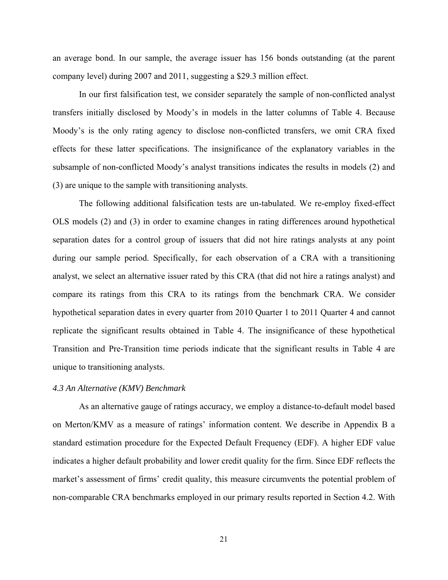an average bond. In our sample, the average issuer has 156 bonds outstanding (at the parent company level) during 2007 and 2011, suggesting a \$29.3 million effect.

In our first falsification test, we consider separately the sample of non-conflicted analyst transfers initially disclosed by Moody's in models in the latter columns of Table 4. Because Moody's is the only rating agency to disclose non-conflicted transfers, we omit CRA fixed effects for these latter specifications. The insignificance of the explanatory variables in the subsample of non-conflicted Moody's analyst transitions indicates the results in models (2) and (3) are unique to the sample with transitioning analysts.

The following additional falsification tests are un-tabulated. We re-employ fixed-effect OLS models (2) and (3) in order to examine changes in rating differences around hypothetical separation dates for a control group of issuers that did not hire ratings analysts at any point during our sample period. Specifically, for each observation of a CRA with a transitioning analyst, we select an alternative issuer rated by this CRA (that did not hire a ratings analyst) and compare its ratings from this CRA to its ratings from the benchmark CRA. We consider hypothetical separation dates in every quarter from 2010 Quarter 1 to 2011 Quarter 4 and cannot replicate the significant results obtained in Table 4. The insignificance of these hypothetical Transition and Pre-Transition time periods indicate that the significant results in Table 4 are unique to transitioning analysts.

# *4.3 An Alternative (KMV) Benchmark*

As an alternative gauge of ratings accuracy, we employ a distance-to-default model based on Merton/KMV as a measure of ratings' information content. We describe in Appendix B a standard estimation procedure for the Expected Default Frequency (EDF). A higher EDF value indicates a higher default probability and lower credit quality for the firm. Since EDF reflects the market's assessment of firms' credit quality, this measure circumvents the potential problem of non-comparable CRA benchmarks employed in our primary results reported in Section 4.2. With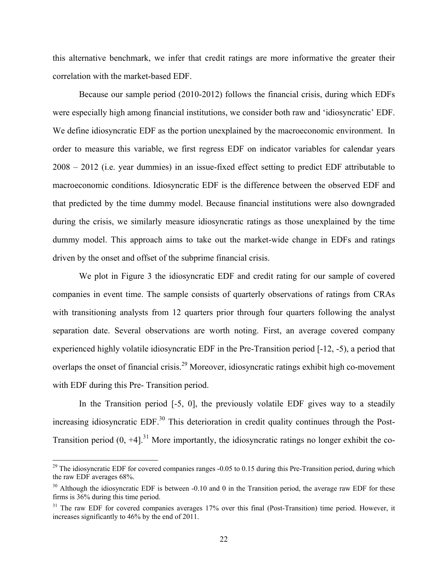this alternative benchmark, we infer that credit ratings are more informative the greater their correlation with the market-based EDF.

Because our sample period (2010-2012) follows the financial crisis, during which EDFs were especially high among financial institutions, we consider both raw and 'idiosyncratic' EDF. We define idiosyncratic EDF as the portion unexplained by the macroeconomic environment. In order to measure this variable, we first regress EDF on indicator variables for calendar years 2008 – 2012 (i.e. year dummies) in an issue-fixed effect setting to predict EDF attributable to macroeconomic conditions. Idiosyncratic EDF is the difference between the observed EDF and that predicted by the time dummy model. Because financial institutions were also downgraded during the crisis, we similarly measure idiosyncratic ratings as those unexplained by the time dummy model. This approach aims to take out the market-wide change in EDFs and ratings driven by the onset and offset of the subprime financial crisis.

We plot in Figure 3 the idiosyncratic EDF and credit rating for our sample of covered companies in event time. The sample consists of quarterly observations of ratings from CRAs with transitioning analysts from 12 quarters prior through four quarters following the analyst separation date. Several observations are worth noting. First, an average covered company experienced highly volatile idiosyncratic EDF in the Pre-Transition period [-12, -5), a period that overlaps the onset of financial crisis.29 Moreover, idiosyncratic ratings exhibit high co-movement with EDF during this Pre- Transition period.

In the Transition period  $[-5, 0]$ , the previously volatile EDF gives way to a steadily increasing idiosyncratic EDF. $30$  This deterioration in credit quality continues through the Post-Transition period  $(0, +4]$ .<sup>31</sup> More importantly, the idiosyncratic ratings no longer exhibit the co-

 $29$  The idiosyncratic EDF for covered companies ranges -0.05 to 0.15 during this Pre-Transition period, during which the raw EDF averages 68%.

 $30$  Although the idiosyncratic EDF is between -0.10 and 0 in the Transition period, the average raw EDF for these firms is 36% during this time period.

<sup>&</sup>lt;sup>31</sup> The raw EDF for covered companies averages 17% over this final (Post-Transition) time period. However, it increases significantly to 46% by the end of 2011.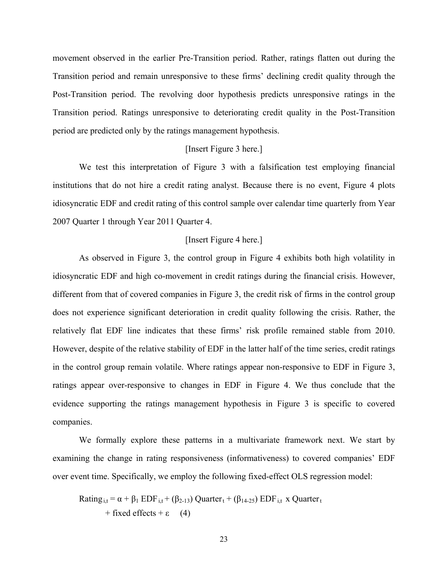movement observed in the earlier Pre-Transition period. Rather, ratings flatten out during the Transition period and remain unresponsive to these firms' declining credit quality through the Post-Transition period. The revolving door hypothesis predicts unresponsive ratings in the Transition period. Ratings unresponsive to deteriorating credit quality in the Post-Transition period are predicted only by the ratings management hypothesis.

# [Insert Figure 3 here.]

We test this interpretation of Figure 3 with a falsification test employing financial institutions that do not hire a credit rating analyst. Because there is no event, Figure 4 plots idiosyncratic EDF and credit rating of this control sample over calendar time quarterly from Year 2007 Quarter 1 through Year 2011 Quarter 4.

### [Insert Figure 4 here.]

As observed in Figure 3, the control group in Figure 4 exhibits both high volatility in idiosyncratic EDF and high co-movement in credit ratings during the financial crisis. However, different from that of covered companies in Figure 3, the credit risk of firms in the control group does not experience significant deterioration in credit quality following the crisis. Rather, the relatively flat EDF line indicates that these firms' risk profile remained stable from 2010. However, despite of the relative stability of EDF in the latter half of the time series, credit ratings in the control group remain volatile. Where ratings appear non-responsive to EDF in Figure 3, ratings appear over-responsive to changes in EDF in Figure 4. We thus conclude that the evidence supporting the ratings management hypothesis in Figure 3 is specific to covered companies.

We formally explore these patterns in a multivariate framework next. We start by examining the change in rating responsiveness (informativeness) to covered companies' EDF over event time. Specifically, we employ the following fixed-effect OLS regression model:

Rating<sub>i,t</sub> =  $\alpha + \beta_1$  EDF<sub>i,t</sub> + ( $\beta_{2-13}$ ) Quarter<sub>t</sub> + ( $\beta_{14-25}$ ) EDF<sub>i,t</sub> x Quarter<sub>t</sub>  $+$  fixed effects  $+ \varepsilon$  (4)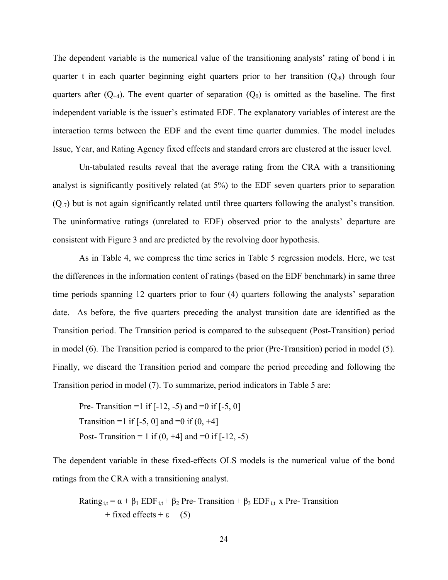The dependent variable is the numerical value of the transitioning analysts' rating of bond i in quarter t in each quarter beginning eight quarters prior to her transition  $(Q_8)$  through four quarters after  $(Q_{+4})$ . The event quarter of separation  $(Q_0)$  is omitted as the baseline. The first independent variable is the issuer's estimated EDF. The explanatory variables of interest are the interaction terms between the EDF and the event time quarter dummies. The model includes Issue, Year, and Rating Agency fixed effects and standard errors are clustered at the issuer level.

Un-tabulated results reveal that the average rating from the CRA with a transitioning analyst is significantly positively related (at 5%) to the EDF seven quarters prior to separation  $(Q_7)$  but is not again significantly related until three quarters following the analyst's transition. The uninformative ratings (unrelated to EDF) observed prior to the analysts' departure are consistent with Figure 3 and are predicted by the revolving door hypothesis.

As in Table 4, we compress the time series in Table 5 regression models. Here, we test the differences in the information content of ratings (based on the EDF benchmark) in same three time periods spanning 12 quarters prior to four (4) quarters following the analysts' separation date. As before, the five quarters preceding the analyst transition date are identified as the Transition period. The Transition period is compared to the subsequent (Post-Transition) period in model (6). The Transition period is compared to the prior (Pre-Transition) period in model (5). Finally, we discard the Transition period and compare the period preceding and following the Transition period in model (7). To summarize, period indicators in Table 5 are:

Pre- Transition =1 if  $[-12, -5)$  and =0 if  $[-5, 0]$ Transition =1 if  $[-5, 0]$  and =0 if  $(0, +4]$ Post- Transition = 1 if  $(0, +4)$  and =0 if  $[-12, -5)$ 

The dependent variable in these fixed-effects OLS models is the numerical value of the bond ratings from the CRA with a transitioning analyst.

Rating<sub>it</sub> =  $\alpha + \beta_1$  EDF<sub>it</sub> +  $\beta_2$  Pre- Transition +  $\beta_3$  EDF<sub>it</sub> x Pre- Transition  $+$  fixed effects  $+ \varepsilon$  (5)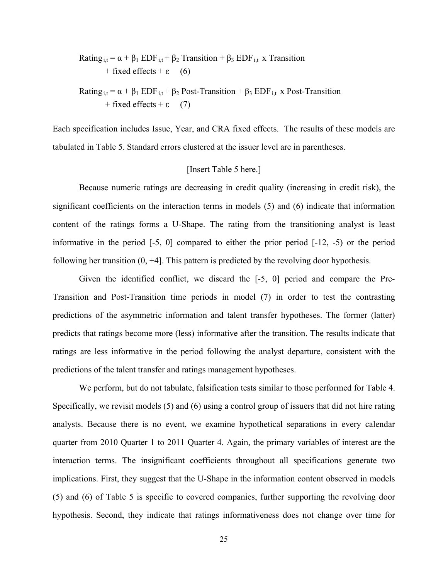Rating<sub>i,t</sub> =  $\alpha + \beta_1$  EDF<sub>i,t</sub> +  $\beta_2$  Transition +  $\beta_3$  EDF<sub>i,t</sub> x Transition  $+$  fixed effects  $+ \varepsilon$  (6) Rating<sub>i,t</sub> =  $\alpha + \beta_1$  EDF<sub>i,t</sub> +  $\beta_2$  Post-Transition +  $\beta_3$  EDF<sub>i,t</sub> x Post-Transition  $+$  fixed effects  $+ \varepsilon$  (7)

Each specification includes Issue, Year, and CRA fixed effects. The results of these models are tabulated in Table 5. Standard errors clustered at the issuer level are in parentheses.

#### [Insert Table 5 here.]

Because numeric ratings are decreasing in credit quality (increasing in credit risk), the significant coefficients on the interaction terms in models (5) and (6) indicate that information content of the ratings forms a U-Shape. The rating from the transitioning analyst is least informative in the period [-5, 0] compared to either the prior period [-12, -5) or the period following her transition (0, +4]. This pattern is predicted by the revolving door hypothesis.

Given the identified conflict, we discard the [-5, 0] period and compare the Pre-Transition and Post-Transition time periods in model (7) in order to test the contrasting predictions of the asymmetric information and talent transfer hypotheses. The former (latter) predicts that ratings become more (less) informative after the transition. The results indicate that ratings are less informative in the period following the analyst departure, consistent with the predictions of the talent transfer and ratings management hypotheses.

We perform, but do not tabulate, falsification tests similar to those performed for Table 4. Specifically, we revisit models (5) and (6) using a control group of issuers that did not hire rating analysts. Because there is no event, we examine hypothetical separations in every calendar quarter from 2010 Quarter 1 to 2011 Quarter 4. Again, the primary variables of interest are the interaction terms. The insignificant coefficients throughout all specifications generate two implications. First, they suggest that the U-Shape in the information content observed in models (5) and (6) of Table 5 is specific to covered companies, further supporting the revolving door hypothesis. Second, they indicate that ratings informativeness does not change over time for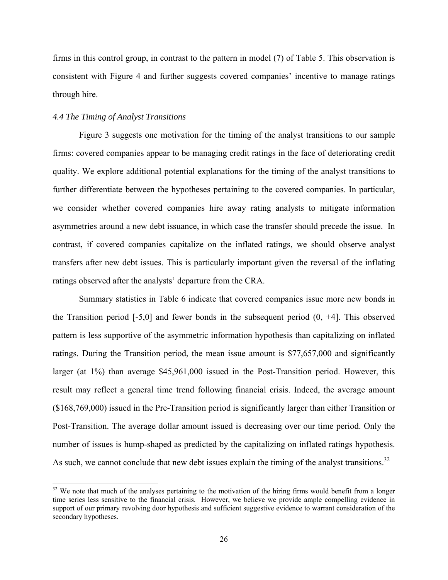firms in this control group, in contrast to the pattern in model (7) of Table 5. This observation is consistent with Figure 4 and further suggests covered companies' incentive to manage ratings through hire.

#### *4.4 The Timing of Analyst Transitions*

 Figure 3 suggests one motivation for the timing of the analyst transitions to our sample firms: covered companies appear to be managing credit ratings in the face of deteriorating credit quality. We explore additional potential explanations for the timing of the analyst transitions to further differentiate between the hypotheses pertaining to the covered companies. In particular, we consider whether covered companies hire away rating analysts to mitigate information asymmetries around a new debt issuance, in which case the transfer should precede the issue. In contrast, if covered companies capitalize on the inflated ratings, we should observe analyst transfers after new debt issues. This is particularly important given the reversal of the inflating ratings observed after the analysts' departure from the CRA.

Summary statistics in Table 6 indicate that covered companies issue more new bonds in the Transition period [-5,0] and fewer bonds in the subsequent period (0, +4]. This observed pattern is less supportive of the asymmetric information hypothesis than capitalizing on inflated ratings. During the Transition period, the mean issue amount is \$77,657,000 and significantly larger (at 1%) than average \$45,961,000 issued in the Post-Transition period. However, this result may reflect a general time trend following financial crisis. Indeed, the average amount (\$168,769,000) issued in the Pre-Transition period is significantly larger than either Transition or Post-Transition. The average dollar amount issued is decreasing over our time period. Only the number of issues is hump-shaped as predicted by the capitalizing on inflated ratings hypothesis. As such, we cannot conclude that new debt issues explain the timing of the analyst transitions.<sup>32</sup>

 $32$  We note that much of the analyses pertaining to the motivation of the hiring firms would benefit from a longer time series less sensitive to the financial crisis. However, we believe we provide ample compelling evidence in support of our primary revolving door hypothesis and sufficient suggestive evidence to warrant consideration of the secondary hypotheses.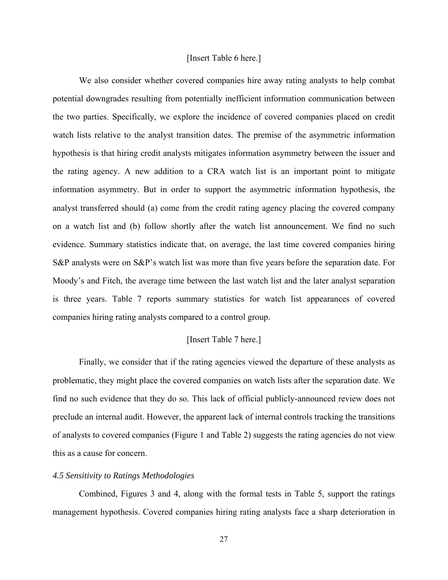#### [Insert Table 6 here.]

We also consider whether covered companies hire away rating analysts to help combat potential downgrades resulting from potentially inefficient information communication between the two parties. Specifically, we explore the incidence of covered companies placed on credit watch lists relative to the analyst transition dates. The premise of the asymmetric information hypothesis is that hiring credit analysts mitigates information asymmetry between the issuer and the rating agency. A new addition to a CRA watch list is an important point to mitigate information asymmetry. But in order to support the asymmetric information hypothesis, the analyst transferred should (a) come from the credit rating agency placing the covered company on a watch list and (b) follow shortly after the watch list announcement. We find no such evidence. Summary statistics indicate that, on average, the last time covered companies hiring S&P analysts were on S&P's watch list was more than five years before the separation date. For Moody's and Fitch, the average time between the last watch list and the later analyst separation is three years. Table 7 reports summary statistics for watch list appearances of covered companies hiring rating analysts compared to a control group.

### [Insert Table 7 here.]

Finally, we consider that if the rating agencies viewed the departure of these analysts as problematic, they might place the covered companies on watch lists after the separation date. We find no such evidence that they do so. This lack of official publicly-announced review does not preclude an internal audit. However, the apparent lack of internal controls tracking the transitions of analysts to covered companies (Figure 1 and Table 2) suggests the rating agencies do not view this as a cause for concern.

### *4.5 Sensitivity to Ratings Methodologies*

Combined, Figures 3 and 4, along with the formal tests in Table 5, support the ratings management hypothesis. Covered companies hiring rating analysts face a sharp deterioration in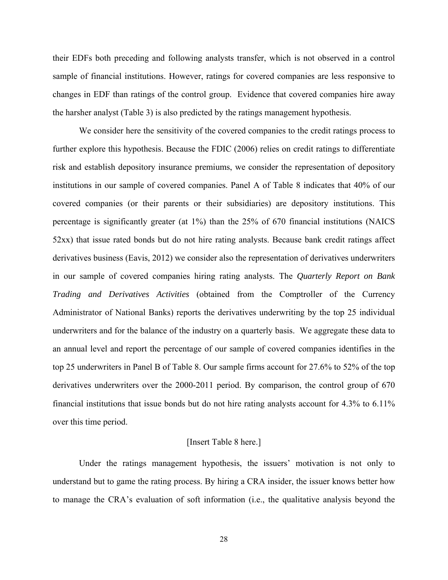their EDFs both preceding and following analysts transfer, which is not observed in a control sample of financial institutions. However, ratings for covered companies are less responsive to changes in EDF than ratings of the control group. Evidence that covered companies hire away the harsher analyst (Table 3) is also predicted by the ratings management hypothesis.

We consider here the sensitivity of the covered companies to the credit ratings process to further explore this hypothesis. Because the FDIC (2006) relies on credit ratings to differentiate risk and establish depository insurance premiums, we consider the representation of depository institutions in our sample of covered companies. Panel A of Table 8 indicates that 40% of our covered companies (or their parents or their subsidiaries) are depository institutions. This percentage is significantly greater (at 1%) than the 25% of 670 financial institutions (NAICS 52xx) that issue rated bonds but do not hire rating analysts. Because bank credit ratings affect derivatives business (Eavis, 2012) we consider also the representation of derivatives underwriters in our sample of covered companies hiring rating analysts. The *Quarterly Report on Bank Trading and Derivatives Activities* (obtained from the Comptroller of the Currency Administrator of National Banks) reports the derivatives underwriting by the top 25 individual underwriters and for the balance of the industry on a quarterly basis. We aggregate these data to an annual level and report the percentage of our sample of covered companies identifies in the top 25 underwriters in Panel B of Table 8. Our sample firms account for 27.6% to 52% of the top derivatives underwriters over the 2000-2011 period. By comparison, the control group of 670 financial institutions that issue bonds but do not hire rating analysts account for 4.3% to 6.11% over this time period.

#### [Insert Table 8 here.]

Under the ratings management hypothesis, the issuers' motivation is not only to understand but to game the rating process. By hiring a CRA insider, the issuer knows better how to manage the CRA's evaluation of soft information (i.e., the qualitative analysis beyond the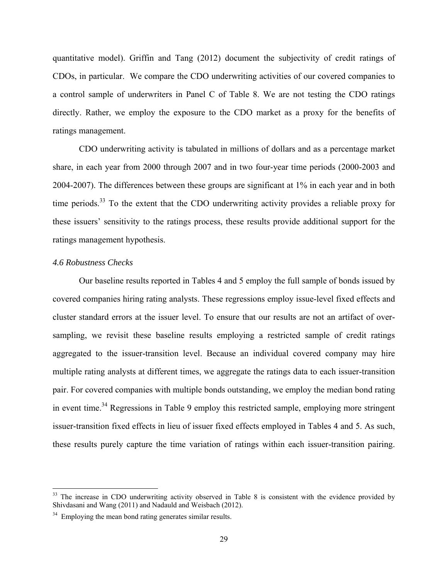quantitative model). Griffin and Tang (2012) document the subjectivity of credit ratings of CDOs, in particular. We compare the CDO underwriting activities of our covered companies to a control sample of underwriters in Panel C of Table 8. We are not testing the CDO ratings directly. Rather, we employ the exposure to the CDO market as a proxy for the benefits of ratings management.

CDO underwriting activity is tabulated in millions of dollars and as a percentage market share, in each year from 2000 through 2007 and in two four-year time periods (2000-2003 and 2004-2007). The differences between these groups are significant at 1% in each year and in both time periods.<sup>33</sup> To the extent that the CDO underwriting activity provides a reliable proxy for these issuers' sensitivity to the ratings process, these results provide additional support for the ratings management hypothesis.

# *4.6 Robustness Checks*

 Our baseline results reported in Tables 4 and 5 employ the full sample of bonds issued by covered companies hiring rating analysts. These regressions employ issue-level fixed effects and cluster standard errors at the issuer level. To ensure that our results are not an artifact of oversampling, we revisit these baseline results employing a restricted sample of credit ratings aggregated to the issuer-transition level. Because an individual covered company may hire multiple rating analysts at different times, we aggregate the ratings data to each issuer-transition pair. For covered companies with multiple bonds outstanding, we employ the median bond rating in event time.<sup>34</sup> Regressions in Table 9 employ this restricted sample, employing more stringent issuer-transition fixed effects in lieu of issuer fixed effects employed in Tables 4 and 5. As such, these results purely capture the time variation of ratings within each issuer-transition pairing.

<sup>&</sup>lt;sup>33</sup> The increase in CDO underwriting activity observed in Table 8 is consistent with the evidence provided by Shivdasani and Wang (2011) and Nadauld and Weisbach (2012).

 $34$  Employing the mean bond rating generates similar results.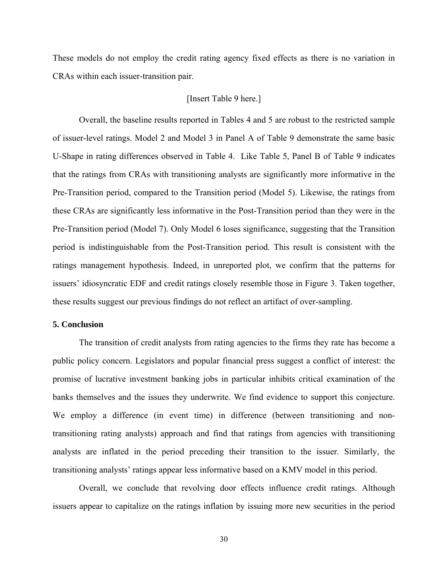These models do not employ the credit rating agency fixed effects as there is no variation in CRAs within each issuer-transition pair.

# [Insert Table 9 here.]

Overall, the baseline results reported in Tables 4 and 5 are robust to the restricted sample of issuer-level ratings. Model 2 and Model 3 in Panel A of Table 9 demonstrate the same basic U-Shape in rating differences observed in Table 4. Like Table 5, Panel B of Table 9 indicates that the ratings from CRAs with transitioning analysts are significantly more informative in the Pre-Transition period, compared to the Transition period (Model 5). Likewise, the ratings from these CRAs are significantly less informative in the Post-Transition period than they were in the Pre-Transition period (Model 7). Only Model 6 loses significance, suggesting that the Transition period is indistinguishable from the Post-Transition period. This result is consistent with the ratings management hypothesis. Indeed, in unreported plot, we confirm that the patterns for issuers' idiosyncratic EDF and credit ratings closely resemble those in Figure 3. Taken together, these results suggest our previous findings do not reflect an artifact of over-sampling.

#### **5. Conclusion**

 The transition of credit analysts from rating agencies to the firms they rate has become a public policy concern. Legislators and popular financial press suggest a conflict of interest: the promise of lucrative investment banking jobs in particular inhibits critical examination of the banks themselves and the issues they underwrite. We find evidence to support this conjecture. We employ a difference (in event time) in difference (between transitioning and nontransitioning rating analysts) approach and find that ratings from agencies with transitioning analysts are inflated in the period preceding their transition to the issuer. Similarly, the transitioning analysts' ratings appear less informative based on a KMV model in this period.

Overall, we conclude that revolving door effects influence credit ratings. Although issuers appear to capitalize on the ratings inflation by issuing more new securities in the period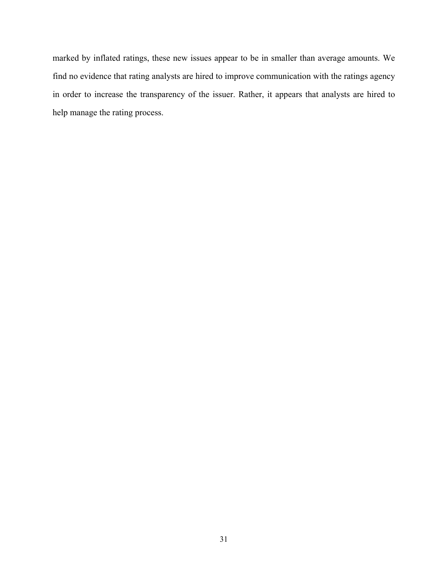marked by inflated ratings, these new issues appear to be in smaller than average amounts. We find no evidence that rating analysts are hired to improve communication with the ratings agency in order to increase the transparency of the issuer. Rather, it appears that analysts are hired to help manage the rating process.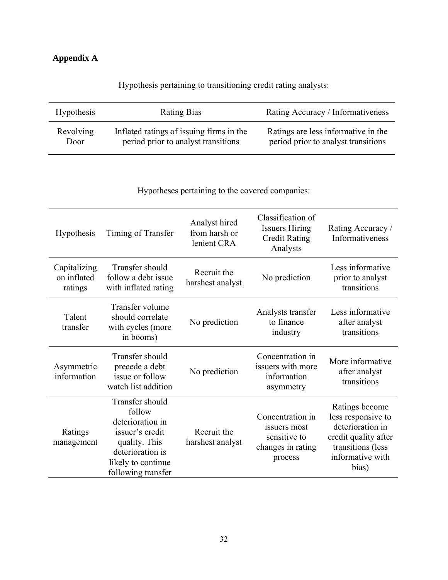# **Appendix A**

| <b>Hypothesis</b> | Rating Bias                              | Rating Accuracy / Informativeness   |
|-------------------|------------------------------------------|-------------------------------------|
| <b>Revolving</b>  | Inflated ratings of issuing firms in the | Ratings are less informative in the |
| Door              | period prior to analyst transitions      | period prior to analyst transitions |

Hypothesis pertaining to transitioning credit rating analysts:

Hypotheses pertaining to the covered companies:

| Hypothesis                             | Timing of Transfer                                                                                                                                | Analyst hired<br>from harsh or<br>lenient CRA | Classification of<br><b>Issuers Hiring</b><br><b>Credit Rating</b><br>Analysts   | Rating Accuracy /<br>Informativeness                                                                                               |
|----------------------------------------|---------------------------------------------------------------------------------------------------------------------------------------------------|-----------------------------------------------|----------------------------------------------------------------------------------|------------------------------------------------------------------------------------------------------------------------------------|
| Capitalizing<br>on inflated<br>ratings | Transfer should<br>follow a debt issue<br>with inflated rating                                                                                    | Recruit the<br>harshest analyst               | No prediction                                                                    | Less informative<br>prior to analyst<br>transitions                                                                                |
| Talent<br>transfer                     | Transfer volume<br>should correlate<br>with cycles (more<br>in booms)                                                                             | No prediction                                 | Analysts transfer<br>to finance<br>industry                                      | Less informative<br>after analyst<br>transitions                                                                                   |
| Asymmetric<br>information              | Transfer should<br>precede a debt<br>issue or follow<br>watch list addition                                                                       | No prediction                                 | Concentration in<br>issuers with more<br>information<br>asymmetry                | More informative<br>after analyst<br>transitions                                                                                   |
| Ratings<br>management                  | Transfer should<br>follow<br>deterioration in<br>issuer's credit<br>quality. This<br>deterioration is<br>likely to continue<br>following transfer | Recruit the<br>harshest analyst               | Concentration in<br>issuers most<br>sensitive to<br>changes in rating<br>process | Ratings become<br>less responsive to<br>deterioration in<br>credit quality after<br>transitions (less<br>informative with<br>bias) |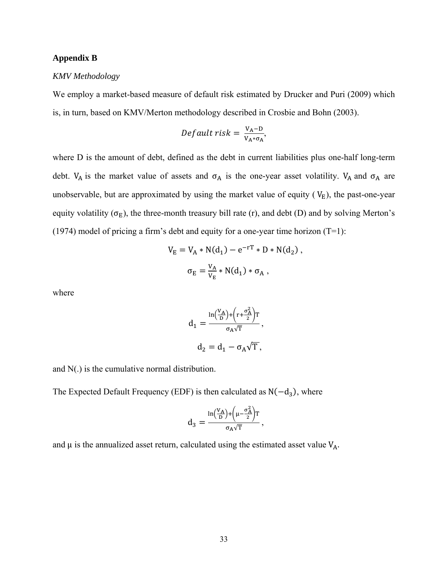### **Appendix B**

#### *KMV Methodology*

We employ a market-based measure of default risk estimated by Drucker and Puri (2009) which is, in turn, based on KMV/Merton methodology described in Crosbie and Bohn (2003).

$$
Default risk = \frac{V_A - D}{V_A * \sigma_A},
$$

where D is the amount of debt, defined as the debt in current liabilities plus one-half long-term debt. V<sub>A</sub> is the market value of assets and  $\sigma_A$  is the one-year asset volatility. V<sub>A</sub> and  $\sigma_A$  are unobservable, but are approximated by using the market value of equity ( $V_E$ ), the past-one-year equity volatility ( $\sigma_E$ ), the three-month treasury bill rate (r), and debt (D) and by solving Merton's (1974) model of pricing a firm's debt and equity for a one-year time horizon (T=1):

$$
V_{E} = V_{A} * N(d_{1}) - e^{-rT} * D * N(d_{2}),
$$
  

$$
\sigma_{E} = \frac{V_{A}}{V_{E}} * N(d_{1}) * \sigma_{A},
$$

where

$$
d_1 = \frac{\ln(\frac{V_A}{D}) + \left(r + \frac{\sigma_A^2}{2}\right)T}{\sigma_A \sqrt{T}},
$$
  

$$
d_2 = d_1 - \sigma_A \sqrt{T},
$$

and N(.) is the cumulative normal distribution.

The Expected Default Frequency (EDF) is then calculated as  $N(-d_3)$ , where

$$
d_3=\frac{\ln\hspace{-0.3cm}\big(\frac{V_A}{D}\big)\hspace{-0.3cm}+\hspace{-0.3cm}\big(\mu\hspace{-0.3cm}-\hspace{-0.3cm}\frac{\sigma_A^2}{2}\hspace{-0.3cm}\big) \hspace{-0.3cm} T}}{\sigma_A\sqrt{T}}\hspace{-0.3cm},
$$

and  $\mu$  is the annualized asset return, calculated using the estimated asset value  $V_A$ .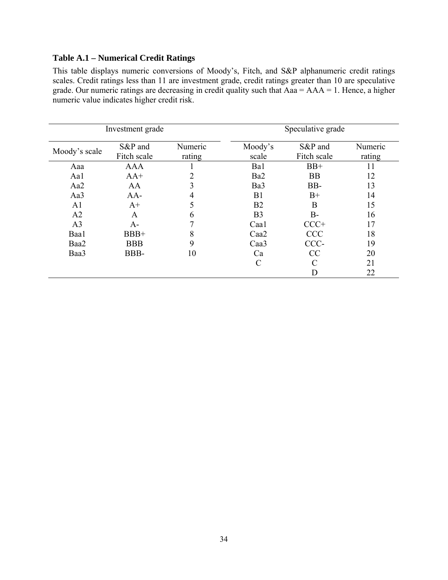# **Table A.1 – Numerical Credit Ratings**

This table displays numeric conversions of Moody's, Fitch, and S&P alphanumeric credit ratings scales. Credit ratings less than 11 are investment grade, credit ratings greater than 10 are speculative grade. Our numeric ratings are decreasing in credit quality such that Aaa = AAA = 1. Hence, a higher numeric value indicates higher credit risk.

| Investment grade |                        |                   | Speculative grade |                        |                   |
|------------------|------------------------|-------------------|-------------------|------------------------|-------------------|
| Moody's scale    | S&P and<br>Fitch scale | Numeric<br>rating | Moody's<br>scale  | S&P and<br>Fitch scale | Numeric<br>rating |
| Aaa              | <b>AAA</b>             |                   | Ba1               | $BB+$                  | 11                |
| Aa1              | $AA+$                  | $\overline{2}$    | Ba <sub>2</sub>   | <b>BB</b>              | 12                |
| Aa2              | AA                     | 3                 | Ba3               | BB-                    | 13                |
| Aa3              | $AA-$                  | 4                 | B <sub>1</sub>    | $B+$                   | 14                |
| A <sub>1</sub>   | $A+$                   | 5                 | B <sub>2</sub>    | B                      | 15                |
| A2               | A                      | 6                 | B <sub>3</sub>    | $B-$                   | 16                |
| A <sub>3</sub>   | $A -$                  | 7                 | Caa1              | $CCC+$                 | 17                |
| Baa1             | BBB+                   | 8                 | Caa <sub>2</sub>  | <b>CCC</b>             | 18                |
| Baa2             | <b>BBB</b>             | 9                 | Caa <sub>3</sub>  | CCC-                   | 19                |
| Baa3             | BBB-                   | 10                | Ca                | CC                     | 20                |
|                  |                        |                   | $\mathcal{C}$     | C                      | 21                |
|                  |                        |                   |                   | D                      | 22                |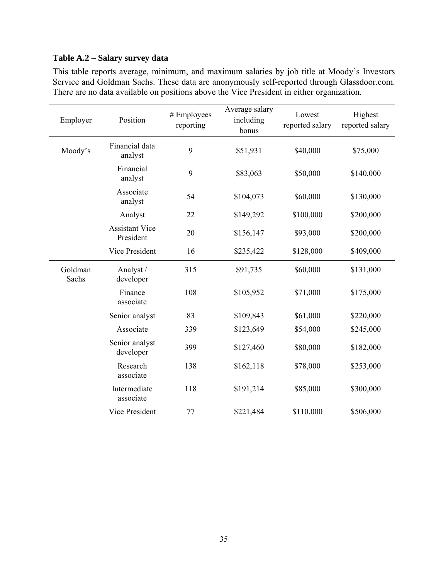# **Table A.2 – Salary survey data**

This table reports average, minimum, and maximum salaries by job title at Moody's Investors Service and Goldman Sachs. These data are anonymously self-reported through Glassdoor.com. There are no data available on positions above the Vice President in either organization.

| Employer         | Position                           | # Employees<br>reporting | Average salary<br>including<br>bonus | Lowest<br>reported salary | Highest<br>reported salary |
|------------------|------------------------------------|--------------------------|--------------------------------------|---------------------------|----------------------------|
| Moody's          | Financial data<br>analyst          | 9                        | \$51,931                             | \$40,000                  | \$75,000                   |
|                  | Financial<br>analyst               | 9                        | \$83,063                             | \$50,000                  | \$140,000                  |
|                  | Associate<br>analyst               | 54                       | \$104,073                            | \$60,000                  | \$130,000                  |
|                  | Analyst                            | 22                       | \$149,292                            | \$100,000                 | \$200,000                  |
|                  | <b>Assistant Vice</b><br>President | 20                       | \$156,147                            | \$93,000                  | \$200,000                  |
|                  | Vice President                     | 16                       | \$235,422                            | \$128,000                 | \$409,000                  |
| Goldman<br>Sachs | Analyst /<br>developer             | 315                      | \$91,735                             | \$60,000                  | \$131,000                  |
|                  | Finance<br>associate               | 108                      | \$105,952                            | \$71,000                  | \$175,000                  |
|                  | Senior analyst                     | 83                       | \$109,843                            | \$61,000                  | \$220,000                  |
|                  | Associate                          | 339                      | \$123,649                            | \$54,000                  | \$245,000                  |
|                  | Senior analyst<br>developer        | 399                      | \$127,460                            | \$80,000                  | \$182,000                  |
|                  | Research<br>associate              | 138                      | \$162,118                            | \$78,000                  | \$253,000                  |
|                  | Intermediate<br>associate          | 118                      | \$191,214                            | \$85,000                  | \$300,000                  |
|                  | Vice President                     | 77                       | \$221,484                            | \$110,000                 | \$506,000                  |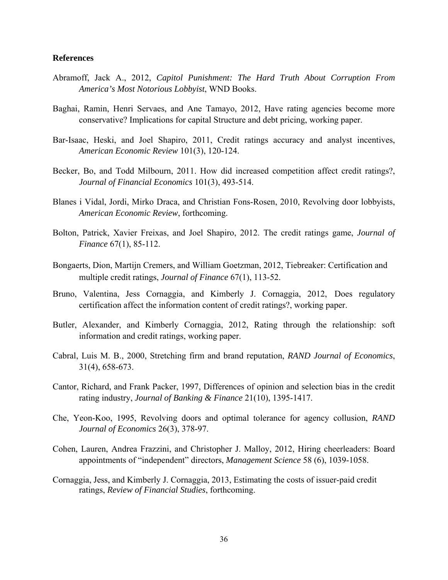### **References**

- Abramoff, Jack A., 2012, *Capitol Punishment: The Hard Truth About Corruption From America's Most Notorious Lobbyist*, WND Books.
- Baghai, Ramin, Henri Servaes, and Ane Tamayo, 2012, Have rating agencies become more conservative? Implications for capital Structure and debt pricing, working paper.
- Bar-Isaac, Heski, and Joel Shapiro, 2011, Credit ratings accuracy and analyst incentives, *American Economic Review* 101(3), 120-124.
- Becker, Bo, and Todd Milbourn, 2011. How did increased competition affect credit ratings?, *Journal of Financial Economics* 101(3), 493-514.
- Blanes i Vidal, Jordi, Mirko Draca, and Christian Fons-Rosen, 2010, Revolving door lobbyists, *American Economic Review*, forthcoming.
- Bolton, Patrick, Xavier Freixas, and Joel Shapiro, 2012. The credit ratings game, *Journal of Finance* 67(1), 85-112.
- Bongaerts, Dion, Martijn Cremers, and William Goetzman, 2012, Tiebreaker: Certification and multiple credit ratings, *Journal of Finance* 67(1), 113-52.
- Bruno, Valentina, Jess Cornaggia, and Kimberly J. Cornaggia, 2012, Does regulatory certification affect the information content of credit ratings?, working paper.
- Butler, Alexander, and Kimberly Cornaggia, 2012, Rating through the relationship: soft information and credit ratings, working paper.
- Cabral, Luis M. B., 2000, Stretching firm and brand reputation, *RAND Journal of Economics*, 31(4), 658-673.
- Cantor, Richard, and Frank Packer, 1997, Differences of opinion and selection bias in the credit rating industry, *Journal of Banking & Finance* 21(10), 1395-1417.
- Che, Yeon-Koo, 1995, Revolving doors and optimal tolerance for agency collusion, *RAND Journal of Economics* 26(3), 378-97.
- Cohen, Lauren, Andrea Frazzini, and Christopher J. Malloy, 2012, Hiring cheerleaders: Board appointments of "independent" directors, *Management Science* 58 (6), 1039-1058.
- Cornaggia, Jess, and Kimberly J. Cornaggia, 2013, Estimating the costs of issuer-paid credit ratings, *Review of Financial Studies*, forthcoming.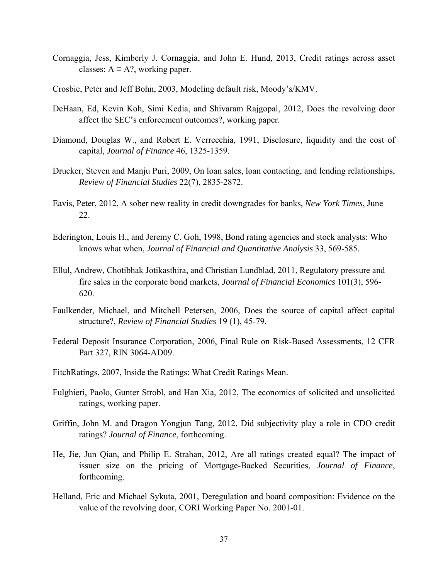- Cornaggia, Jess, Kimberly J. Cornaggia, and John E. Hund, 2013, Credit ratings across asset classes:  $A \equiv A$ ?, working paper.
- Crosbie, Peter and Jeff Bohn, 2003, Modeling default risk, Moody's/KMV.
- DeHaan, Ed, Kevin Koh, Simi Kedia, and Shivaram Rajgopal, 2012, Does the revolving door affect the SEC's enforcement outcomes?, working paper.
- Diamond, Douglas W., and Robert E. Verrecchia, 1991, Disclosure, liquidity and the cost of capital, *Journal of Finance* 46, 1325-1359.
- Drucker, Steven and Manju Puri, 2009, On loan sales, loan contacting, and lending relationships, *Review of Financial Studies* 22(7), 2835-2872.
- Eavis, Peter, 2012, A sober new reality in credit downgrades for banks, *New York Times*, June 22.
- Ederington, Louis H., and Jeremy C. Goh, 1998, Bond rating agencies and stock analysts: Who knows what when, *Journal of Financial and Quantitative Analysis* 33, 569-585.
- Ellul, Andrew, Chotibhak Jotikasthira, and Christian Lundblad, 2011, Regulatory pressure and fire sales in the corporate bond markets, *Journal of Financial Economics* 101(3), 596- 620.
- Faulkender, Michael, and Mitchell Petersen, 2006, Does the source of capital affect capital structure?, *Review of Financial Studies* 19 (1), 45-79.
- Federal Deposit Insurance Corporation, 2006, Final Rule on Risk-Based Assessments, 12 CFR Part 327, RIN 3064-AD09.
- FitchRatings, 2007, Inside the Ratings: What Credit Ratings Mean.
- Fulghieri, Paolo, Gunter Strobl, and Han Xia, 2012, The economics of solicited and unsolicited ratings, working paper.
- Griffin, John M. and Dragon Yongjun Tang, 2012, Did subjectivity play a role in CDO credit ratings? *Journal of Finance*, forthcoming.
- He, Jie, Jun Qian, and Philip E. Strahan, 2012, Are all ratings created equal? The impact of issuer size on the pricing of Mortgage-Backed Securities, *Journal of Finance*, forthcoming.
- Helland, Eric and Michael Sykuta, 2001, Deregulation and board composition: Evidence on the value of the revolving door, CORI Working Paper No. 2001-01.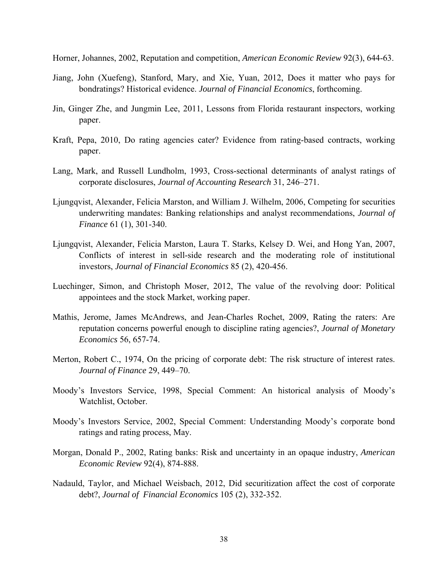Horner, Johannes, 2002, Reputation and competition, *American Economic Review* 92(3), 644-63.

- Jiang, John (Xuefeng), Stanford, Mary, and Xie, Yuan, 2012, Does it matter who pays for bondratings? Historical evidence. *Journal of Financial Economics*, forthcoming.
- Jin, Ginger Zhe, and Jungmin Lee, 2011, Lessons from Florida restaurant inspectors, working paper.
- Kraft, Pepa, 2010, Do rating agencies cater? Evidence from rating-based contracts, working paper.
- Lang, Mark, and Russell Lundholm, 1993, Cross-sectional determinants of analyst ratings of corporate disclosures, *Journal of Accounting Research* 31, 246–271.
- Ljungqvist, Alexander, Felicia Marston, and William J. Wilhelm, 2006, Competing for securities underwriting mandates: Banking relationships and analyst recommendations, *Journal of Finance* 61 (1), 301-340.
- Ljungqvist, Alexander, Felicia Marston, Laura T. Starks, Kelsey D. Wei, and Hong Yan, 2007, Conflicts of interest in sell-side research and the moderating role of institutional investors, *Journal of Financial Economics* 85 (2), 420-456.
- Luechinger, Simon, and Christoph Moser, 2012, The value of the revolving door: Political appointees and the stock Market, working paper.
- Mathis, Jerome, James McAndrews, and Jean-Charles Rochet, 2009, Rating the raters: Are reputation concerns powerful enough to discipline rating agencies?, *Journal of Monetary Economics* 56, 657-74.
- Merton, Robert C., 1974, On the pricing of corporate debt: The risk structure of interest rates. *Journal of Finance* 29, 449–70.
- Moody's Investors Service, 1998, Special Comment: An historical analysis of Moody's Watchlist, October.
- Moody's Investors Service, 2002, Special Comment: Understanding Moody's corporate bond ratings and rating process, May.
- Morgan, Donald P., 2002, Rating banks: Risk and uncertainty in an opaque industry, *American Economic Review* 92(4), 874-888.
- Nadauld, Taylor, and Michael Weisbach, 2012, Did securitization affect the cost of corporate debt?, *Journal of Financial Economics* 105 (2), 332-352.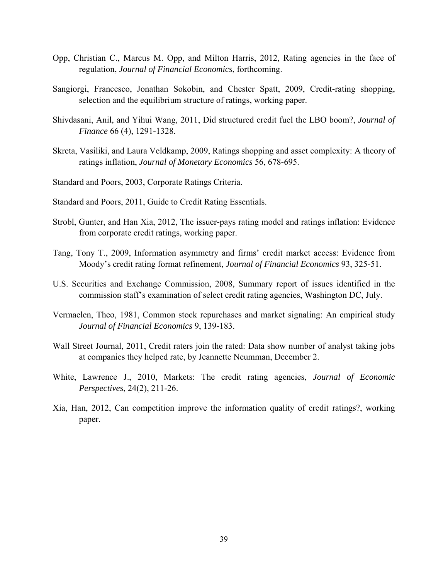- Opp, Christian C., Marcus M. Opp, and Milton Harris, 2012, Rating agencies in the face of regulation, *Journal of Financial Economics*, forthcoming.
- Sangiorgi, Francesco, Jonathan Sokobin, and Chester Spatt, 2009, Credit-rating shopping, selection and the equilibrium structure of ratings, working paper.
- Shivdasani, Anil, and Yihui Wang, 2011, Did structured credit fuel the LBO boom?, *Journal of Finance* 66 (4), 1291-1328.
- Skreta, Vasiliki, and Laura Veldkamp, 2009, Ratings shopping and asset complexity: A theory of ratings inflation, *Journal of Monetary Economics* 56, 678-695.

Standard and Poors, 2003, Corporate Ratings Criteria.

Standard and Poors, 2011, Guide to Credit Rating Essentials.

- Strobl, Gunter, and Han Xia, 2012, The issuer-pays rating model and ratings inflation: Evidence from corporate credit ratings, working paper.
- Tang, Tony T., 2009, Information asymmetry and firms' credit market access: Evidence from Moody's credit rating format refinement, *Journal of Financial Economics* 93, 325-51.
- U.S. Securities and Exchange Commission, 2008, Summary report of issues identified in the commission staff's examination of select credit rating agencies, Washington DC, July.
- Vermaelen, Theo, 1981, Common stock repurchases and market signaling: An empirical study *Journal of Financial Economics* 9, 139-183.
- Wall Street Journal, 2011, Credit raters join the rated: Data show number of analyst taking jobs at companies they helped rate, by Jeannette Neumman, December 2.
- White, Lawrence J., 2010, Markets: The credit rating agencies, *Journal of Economic Perspectives*, 24(2), 211-26.
- Xia, Han, 2012, Can competition improve the information quality of credit ratings?, working paper.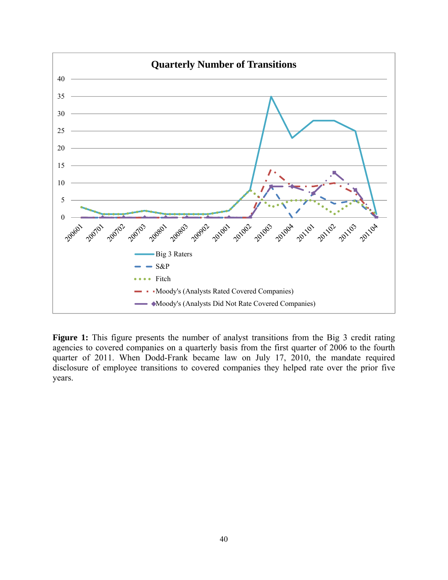

Figure 1: This figure presents the number of analyst transitions from the Big 3 credit rating agencies to covered companies on a quarterly basis from the first quarter of 2006 to the fourth quarter of 2011. When Dodd-Frank became law on July 17, 2010, the mandate required disclosure of employee transitions to covered companies they helped rate over the prior five years.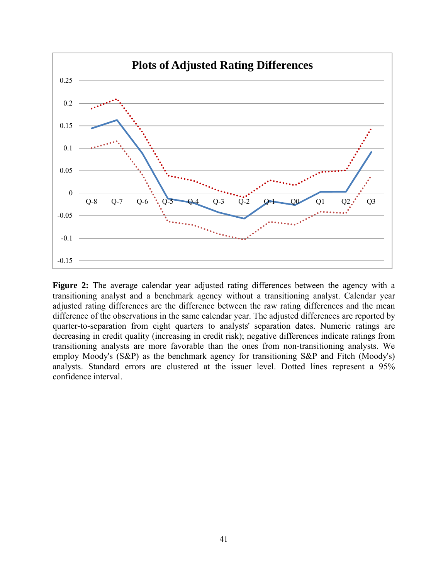

**Figure 2:** The average calendar year adjusted rating differences between the agency with a transitioning analyst and a benchmark agency without a transitioning analyst. Calendar year adjusted rating differences are the difference between the raw rating differences and the mean difference of the observations in the same calendar year. The adjusted differences are reported by quarter-to-separation from eight quarters to analysts' separation dates. Numeric ratings are decreasing in credit quality (increasing in credit risk); negative differences indicate ratings from transitioning analysts are more favorable than the ones from non-transitioning analysts. We employ Moody's (S&P) as the benchmark agency for transitioning S&P and Fitch (Moody's) analysts. Standard errors are clustered at the issuer level. Dotted lines represent a 95% confidence interval.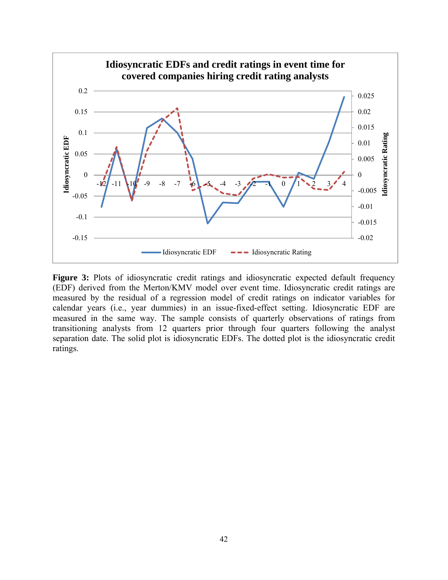

Figure 3: Plots of idiosyncratic credit ratings and idiosyncratic expected default frequency (EDF) derived from the Merton/KMV model over event time. Idiosyncratic credit ratings are measured by the residual of a regression model of credit ratings on indicator variables for calendar years (i.e., year dummies) in an issue-fixed-effect setting. Idiosyncratic EDF are measured in the same way. The sample consists of quarterly observations of ratings from transitioning analysts from 12 quarters prior through four quarters following the analyst separation date. The solid plot is idiosyncratic EDFs. The dotted plot is the idiosyncratic credit ratings.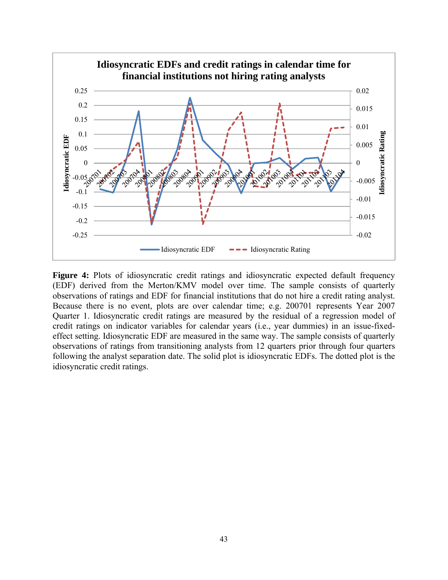

Figure 4: Plots of idiosyncratic credit ratings and idiosyncratic expected default frequency (EDF) derived from the Merton/KMV model over time. The sample consists of quarterly observations of ratings and EDF for financial institutions that do not hire a credit rating analyst. Because there is no event, plots are over calendar time; e.g. 200701 represents Year 2007 Quarter 1. Idiosyncratic credit ratings are measured by the residual of a regression model of credit ratings on indicator variables for calendar years (i.e., year dummies) in an issue-fixedeffect setting. Idiosyncratic EDF are measured in the same way. The sample consists of quarterly observations of ratings from transitioning analysts from 12 quarters prior through four quarters following the analyst separation date. The solid plot is idiosyncratic EDFs. The dotted plot is the idiosyncratic credit ratings.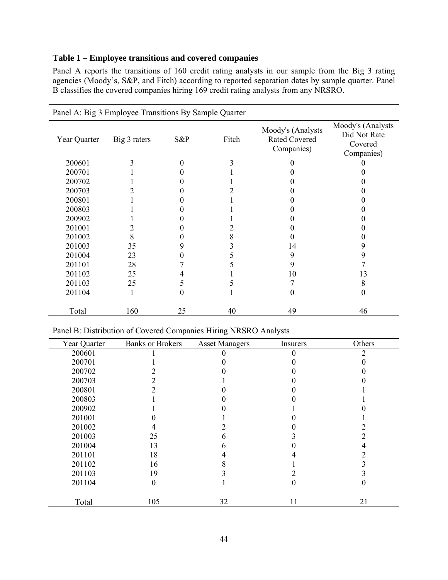# **Table 1 – Employee transitions and covered companies**

Panel A reports the transitions of 160 credit rating analysts in our sample from the Big 3 rating agencies (Moody's, S&P, and Fitch) according to reported separation dates by sample quarter. Panel B classifies the covered companies hiring 169 credit rating analysts from any NRSRO.

|              | Panel A: Big 3 Employee Transitions By Sample Quarter |                  |       |                                                         |                                                            |
|--------------|-------------------------------------------------------|------------------|-------|---------------------------------------------------------|------------------------------------------------------------|
| Year Quarter | Big 3 raters                                          | S&P              | Fitch | Moody's (Analysts<br><b>Rated Covered</b><br>Companies) | Moody's (Analysts<br>Did Not Rate<br>Covered<br>Companies) |
| 200601       | 3                                                     | $\theta$         | 3     |                                                         |                                                            |
| 200701       |                                                       |                  |       |                                                         |                                                            |
| 200702       |                                                       |                  |       |                                                         |                                                            |
| 200703       |                                                       |                  |       |                                                         |                                                            |
| 200801       |                                                       |                  |       |                                                         |                                                            |
| 200803       |                                                       |                  |       |                                                         |                                                            |
| 200902       |                                                       |                  |       |                                                         |                                                            |
| 201001       | 2                                                     |                  |       |                                                         |                                                            |
| 201002       | 8                                                     |                  |       |                                                         |                                                            |
| 201003       | 35                                                    | 9                |       | 14                                                      | 9                                                          |
| 201004       | 23                                                    | 0                |       | 9                                                       | 9                                                          |
| 201101       | 28                                                    |                  |       | 9                                                       |                                                            |
| 201102       | 25                                                    | 4                |       | 10                                                      | 13                                                         |
| 201103       | 25                                                    | 5                |       |                                                         | 8                                                          |
| 201104       |                                                       | $\boldsymbol{0}$ |       | 0                                                       | 0                                                          |
| Total        | 160                                                   | 25               | 40    | 49                                                      | 46                                                         |

| Panel B: Distribution of Covered Companies Hiring NRSRO Analysts |  |  |
|------------------------------------------------------------------|--|--|
|                                                                  |  |  |

| Year Quarter | <b>Banks or Brokers</b> | <b>Asset Managers</b> | Insurers | Others |
|--------------|-------------------------|-----------------------|----------|--------|
| 200601       |                         |                       | 0        | っ      |
| 200701       |                         |                       |          |        |
| 200702       |                         |                       |          |        |
| 200703       |                         |                       |          |        |
| 200801       |                         |                       |          |        |
| 200803       |                         |                       |          |        |
| 200902       |                         |                       |          |        |
| 201001       |                         |                       |          |        |
| 201002       |                         |                       |          |        |
| 201003       | 25                      | n                     |          |        |
| 201004       | 13                      | n                     |          |        |
| 201101       | 18                      |                       |          |        |
| 201102       | 16                      |                       |          |        |
| 201103       | 19                      |                       |          |        |
| 201104       | $\boldsymbol{0}$        |                       | 0        |        |
| Total        | 105                     | 32                    | 11       | 21     |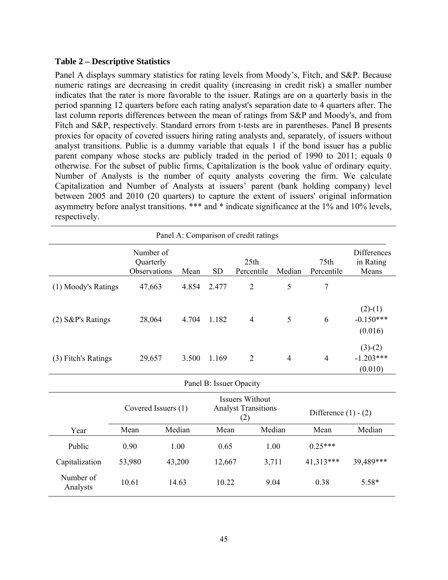# **Table 2 – Descriptive Statistics**

Panel A displays summary statistics for rating levels from Moody's, Fitch, and S&P. Because numeric ratings are decreasing in credit quality (increasing in credit risk) a smaller number indicates that the rater is more favorable to the issuer. Ratings are on a quarterly basis in the period spanning 12 quarters before each rating analyst's separation date to 4 quarters after. The last column reports differences between the mean of ratings from S&P and Moody's, and from Fitch and S&P, respectively. Standard errors from t-tests are in parentheses. Panel B presents proxies for opacity of covered issuers hiring rating analysts and, separately, of issuers without analyst transitions. Public is a dummy variable that equals 1 if the bond issuer has a public parent company whose stocks are publicly traded in the period of 1990 to 2011; equals 0 otherwise. For the subset of public firms, Capitalization is the book value of ordinary equity. Number of Analysts is the number of equity analysts covering the firm. We calculate Capitalization and Number of Analysts at issuers' parent (bank holding company) level between 2005 and 2010 (20 quarters) to capture the extent of issuers' original information asymmetry before analyst transitions. \*\*\* and \* indicate significance at the 1% and 10% levels, respectively.

| Panel A: Comparison of credit ratings |                                        |                                                                                    |        |           |                         |                |                        |                                     |
|---------------------------------------|----------------------------------------|------------------------------------------------------------------------------------|--------|-----------|-------------------------|----------------|------------------------|-------------------------------------|
|                                       | Number of<br>Quarterly<br>Observations |                                                                                    | Mean   | <b>SD</b> | 25th<br>Percentile      | Median         | 75th<br>Percentile     | Differences<br>in Rating<br>Means   |
| (1) Moody's Ratings                   | 47,663                                 |                                                                                    | 4.854  | 2.477     | $\overline{2}$          | 5              | $\overline{7}$         |                                     |
| $(2)$ S&P's Ratings                   | 28,064                                 |                                                                                    | 4.704  | 1.182     | $\overline{4}$          | 5              | 6                      | $(2)-(1)$<br>$-0.150***$<br>(0.016) |
| (3) Fitch's Ratings                   | 29,657                                 |                                                                                    | 3.500  | 1.169     | $\overline{2}$          | $\overline{4}$ | $\overline{4}$         | $(3)-(2)$<br>$-1.203***$<br>(0.010) |
|                                       |                                        |                                                                                    |        |           | Panel B: Issuer Opacity |                |                        |                                     |
|                                       |                                        | <b>Issuers Without</b><br><b>Analyst Transitions</b><br>Covered Issuers (1)<br>(2) |        |           |                         |                | Difference $(1) - (2)$ |                                     |
| Year                                  | Mean                                   |                                                                                    | Median | Mean      |                         | Median         | Mean                   | Median                              |
| Public                                | 0.90                                   |                                                                                    | 1.00   | 0.65      |                         | 1.00           | $0.25***$              |                                     |
| Capitalization                        | 53,980                                 |                                                                                    | 43,200 | 12,667    |                         | 3,711          | 41,313***              | 39,489***                           |
| Number of<br>Analysts                 | 10.61                                  |                                                                                    | 14.63  | 10.22     |                         | 9.04           | 0.38                   | $5.58*$                             |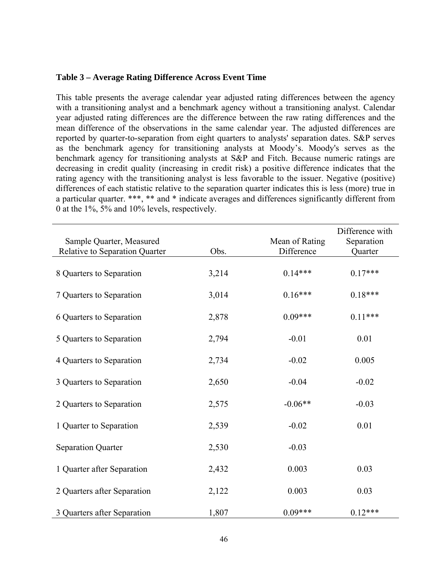# **Table 3 – Average Rating Difference Across Event Time**

This table presents the average calendar year adjusted rating differences between the agency with a transitioning analyst and a benchmark agency without a transitioning analyst. Calendar year adjusted rating differences are the difference between the raw rating differences and the mean difference of the observations in the same calendar year. The adjusted differences are reported by quarter-to-separation from eight quarters to analysts' separation dates. S&P serves as the benchmark agency for transitioning analysts at Moody's. Moody's serves as the benchmark agency for transitioning analysts at S&P and Fitch. Because numeric ratings are decreasing in credit quality (increasing in credit risk) a positive difference indicates that the rating agency with the transitioning analyst is less favorable to the issuer. Negative (positive) differences of each statistic relative to the separation quarter indicates this is less (more) true in a particular quarter. \*\*\*, \*\* and \* indicate averages and differences significantly different from 0 at the 1%, 5% and 10% levels, respectively.

| Sample Quarter, Measured       |       | Mean of Rating | Difference with<br>Separation |
|--------------------------------|-------|----------------|-------------------------------|
| Relative to Separation Quarter | Obs.  | Difference     | Quarter                       |
| 8 Quarters to Separation       | 3,214 | $0.14***$      | $0.17***$                     |
| 7 Quarters to Separation       | 3,014 | $0.16***$      | $0.18***$                     |
| 6 Quarters to Separation       | 2,878 | $0.09***$      | $0.11***$                     |
| 5 Quarters to Separation       | 2,794 | $-0.01$        | 0.01                          |
| 4 Quarters to Separation       | 2,734 | $-0.02$        | 0.005                         |
| 3 Quarters to Separation       | 2,650 | $-0.04$        | $-0.02$                       |
| 2 Quarters to Separation       | 2,575 | $-0.06**$      | $-0.03$                       |
| 1 Quarter to Separation        | 2,539 | $-0.02$        | 0.01                          |
| <b>Separation Quarter</b>      | 2,530 | $-0.03$        |                               |
| 1 Quarter after Separation     | 2,432 | 0.003          | 0.03                          |
| 2 Quarters after Separation    | 2,122 | 0.003          | 0.03                          |
| 3 Quarters after Separation    | 1,807 | $0.09***$      | $0.12***$                     |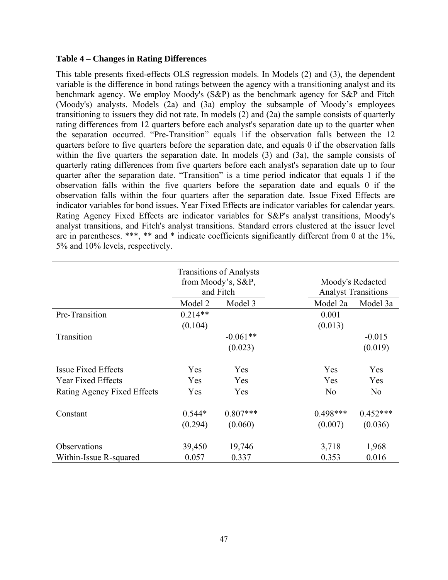# **Table 4 – Changes in Rating Differences**

This table presents fixed-effects OLS regression models. In Models (2) and (3), the dependent variable is the difference in bond ratings between the agency with a transitioning analyst and its benchmark agency. We employ Moody's (S&P) as the benchmark agency for S&P and Fitch (Moody's) analysts. Models (2a) and (3a) employ the subsample of Moody's employees transitioning to issuers they did not rate. In models (2) and (2a) the sample consists of quarterly rating differences from 12 quarters before each analyst's separation date up to the quarter when the separation occurred. "Pre-Transition" equals 1if the observation falls between the 12 quarters before to five quarters before the separation date, and equals 0 if the observation falls within the five quarters the separation date. In models (3) and (3a), the sample consists of quarterly rating differences from five quarters before each analyst's separation date up to four quarter after the separation date. "Transition" is a time period indicator that equals 1 if the observation falls within the five quarters before the separation date and equals 0 if the observation falls within the four quarters after the separation date. Issue Fixed Effects are indicator variables for bond issues. Year Fixed Effects are indicator variables for calendar years. Rating Agency Fixed Effects are indicator variables for S&P's analyst transitions, Moody's analyst transitions, and Fitch's analyst transitions. Standard errors clustered at the issuer level are in parentheses. \*\*\*, \*\* and \* indicate coefficients significantly different from 0 at the 1%, 5% and 10% levels, respectively.

|                             | <b>Transitions of Analysts</b><br>from Moody's, S&P,<br>and Fitch |            | Moody's Redacted<br><b>Analyst Transitions</b> |                |  |
|-----------------------------|-------------------------------------------------------------------|------------|------------------------------------------------|----------------|--|
|                             | Model 2                                                           | Model 3    | Model 2a                                       | Model 3a       |  |
| Pre-Transition              | $0.214**$                                                         |            | 0.001                                          |                |  |
|                             | (0.104)                                                           |            | (0.013)                                        |                |  |
| Transition                  |                                                                   | $-0.061**$ |                                                | $-0.015$       |  |
|                             |                                                                   | (0.023)    |                                                | (0.019)        |  |
| <b>Issue Fixed Effects</b>  | Yes                                                               | Yes        | Yes                                            | Yes            |  |
| <b>Year Fixed Effects</b>   | Yes                                                               | Yes        | Yes                                            | Yes            |  |
| Rating Agency Fixed Effects | Yes                                                               | Yes        | N <sub>o</sub>                                 | N <sub>o</sub> |  |
| Constant                    | $0.544*$                                                          | $0.807***$ | $0.498***$                                     | $0.452***$     |  |
|                             | (0.294)                                                           | (0.060)    | (0.007)                                        | (0.036)        |  |
| Observations                | 39,450                                                            | 19,746     | 3,718                                          | 1,968          |  |
| Within-Issue R-squared      | 0.057                                                             | 0.337      | 0.353                                          | 0.016          |  |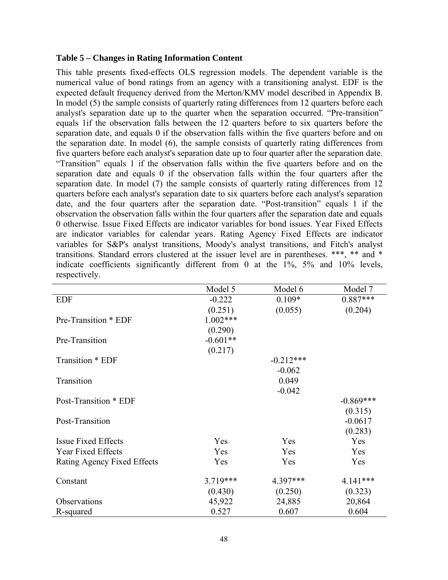# **Table 5 – Changes in Rating Information Content**

This table presents fixed-effects OLS regression models. The dependent variable is the numerical value of bond ratings from an agency with a transitioning analyst. EDF is the expected default frequency derived from the Merton/KMV model described in Appendix B. In model (5) the sample consists of quarterly rating differences from 12 quarters before each analyst's separation date up to the quarter when the separation occurred. "Pre-transition" equals 1if the observation falls between the 12 quarters before to six quarters before the separation date, and equals 0 if the observation falls within the five quarters before and on the separation date. In model (6), the sample consists of quarterly rating differences from five quarters before each analyst's separation date up to four quarter after the separation date. "Transition" equals 1 if the observation falls within the five quarters before and on the separation date and equals 0 if the observation falls within the four quarters after the separation date. In model (7) the sample consists of quarterly rating differences from 12 quarters before each analyst's separation date to six quarters before each analyst's separation date, and the four quarters after the separation date. "Post-transition" equals 1 if the observation the observation falls within the four quarters after the separation date and equals 0 otherwise. Issue Fixed Effects are indicator variables for bond issues. Year Fixed Effects are indicator variables for calendar years. Rating Agency Fixed Effects are indicator variables for S&P's analyst transitions, Moody's analyst transitions, and Fitch's analyst transitions. Standard errors clustered at the issuer level are in parentheses. \*\*\*, \*\* and \* indicate coefficients significantly different from 0 at the 1%, 5% and 10% levels, respectively.

|                             | Model 5    | Model 6     | Model 7     |
|-----------------------------|------------|-------------|-------------|
| <b>EDF</b>                  | $-0.222$   | $0.109*$    | $0.887***$  |
|                             | (0.251)    | (0.055)     | (0.204)     |
| Pre-Transition * EDF        | $1.002***$ |             |             |
|                             | (0.290)    |             |             |
| Pre-Transition              | $-0.601**$ |             |             |
|                             | (0.217)    |             |             |
| Transition * EDF            |            | $-0.212***$ |             |
|                             |            | $-0.062$    |             |
| Transition                  |            | 0.049       |             |
|                             |            | $-0.042$    |             |
| Post-Transition * EDF       |            |             | $-0.869***$ |
|                             |            |             | (0.315)     |
| Post-Transition             |            |             | $-0.0617$   |
|                             |            |             | (0.283)     |
| <b>Issue Fixed Effects</b>  | Yes        | Yes         | Yes         |
| Year Fixed Effects          | Yes        | Yes         | Yes         |
| Rating Agency Fixed Effects | Yes        | Yes         | Yes         |
|                             |            |             |             |
| Constant                    | $3.719***$ | 4.397***    | 4.141***    |
|                             | (0.430)    | (0.250)     | (0.323)     |
| Observations                | 45,922     | 24,885      | 20,864      |
| R-squared                   | 0.527      | 0.607       | 0.604       |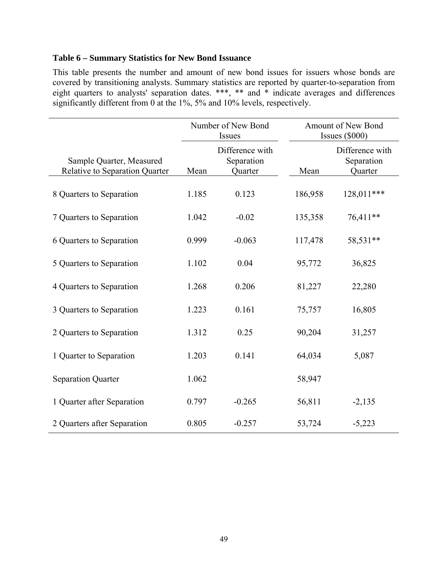# **Table 6 – Summary Statistics for New Bond Issuance**

This table presents the number and amount of new bond issues for issuers whose bonds are covered by transitioning analysts. Summary statistics are reported by quarter-to-separation from eight quarters to analysts' separation dates. \*\*\*, \*\* and \* indicate averages and differences significantly different from 0 at the 1%, 5% and 10% levels, respectively.

|                                                            | Number of New Bond<br>Issues |                                          | Amount of New Bond<br>Issues $(\$000)$ |                                          |  |
|------------------------------------------------------------|------------------------------|------------------------------------------|----------------------------------------|------------------------------------------|--|
| Sample Quarter, Measured<br>Relative to Separation Quarter | Mean                         | Difference with<br>Separation<br>Quarter | Mean                                   | Difference with<br>Separation<br>Quarter |  |
| 8 Quarters to Separation                                   | 1.185                        | 0.123                                    | 186,958                                | 128,011***                               |  |
| 7 Quarters to Separation                                   | 1.042                        | $-0.02$                                  | 135,358                                | 76,411**                                 |  |
| 6 Quarters to Separation                                   | 0.999                        | $-0.063$                                 | 117,478                                | 58,531**                                 |  |
| 5 Quarters to Separation                                   | 1.102                        | 0.04                                     | 95,772                                 | 36,825                                   |  |
| 4 Quarters to Separation                                   | 1.268                        | 0.206                                    | 81,227                                 | 22,280                                   |  |
| 3 Quarters to Separation                                   | 1.223                        | 0.161                                    | 75,757                                 | 16,805                                   |  |
| 2 Quarters to Separation                                   | 1.312                        | 0.25                                     | 90,204                                 | 31,257                                   |  |
| 1 Quarter to Separation                                    | 1.203                        | 0.141                                    | 64,034                                 | 5,087                                    |  |
| <b>Separation Quarter</b>                                  | 1.062                        |                                          | 58,947                                 |                                          |  |
| 1 Quarter after Separation                                 | 0.797                        | $-0.265$                                 | 56,811                                 | $-2,135$                                 |  |
| 2 Quarters after Separation                                | 0.805                        | $-0.257$                                 | 53,724                                 | $-5,223$                                 |  |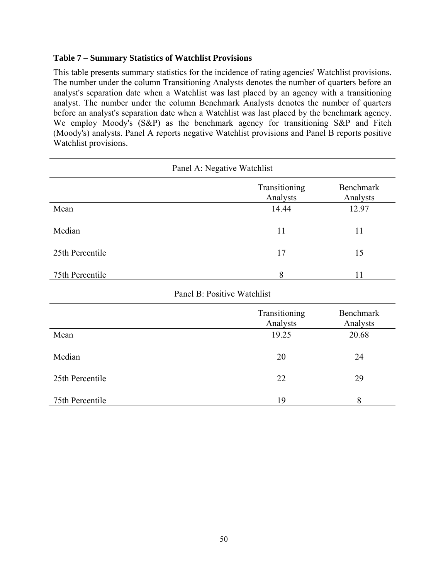# **Table 7 – Summary Statistics of Watchlist Provisions**

This table presents summary statistics for the incidence of rating agencies' Watchlist provisions. The number under the column Transitioning Analysts denotes the number of quarters before an analyst's separation date when a Watchlist was last placed by an agency with a transitioning analyst. The number under the column Benchmark Analysts denotes the number of quarters before an analyst's separation date when a Watchlist was last placed by the benchmark agency. We employ Moody's (S&P) as the benchmark agency for transitioning S&P and Fitch (Moody's) analysts. Panel A reports negative Watchlist provisions and Panel B reports positive Watchlist provisions.

| Panel A: Negative Watchlist |                           |                              |  |  |  |
|-----------------------------|---------------------------|------------------------------|--|--|--|
|                             | Transitioning<br>Analysts | <b>Benchmark</b><br>Analysts |  |  |  |
| Mean                        | 14.44                     | 12.97                        |  |  |  |
| Median                      | 11                        | 11                           |  |  |  |
| 25th Percentile             | 17                        | 15                           |  |  |  |
| 75th Percentile             | 8                         | 11                           |  |  |  |
| Panel B: Positive Watchlist |                           |                              |  |  |  |
|                             | Transitioning<br>Analysts | <b>Benchmark</b><br>Analysts |  |  |  |
| Mean                        | 19.25                     | 20.68                        |  |  |  |
| Median                      | 20                        | 24                           |  |  |  |
| 25th Percentile             | 22                        | 29                           |  |  |  |
| 75th Percentile             | 19                        | 8                            |  |  |  |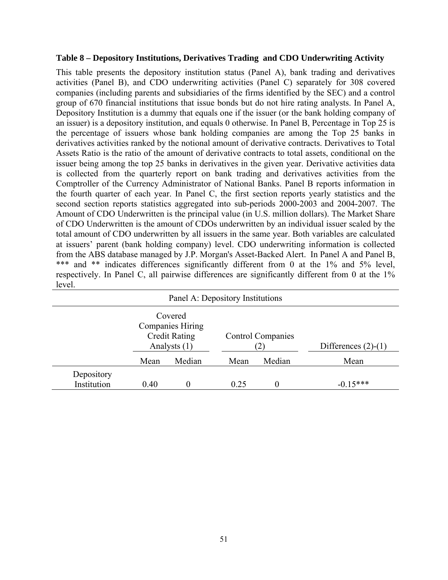# **Table 8 – Depository Institutions, Derivatives Trading and CDO Underwriting Activity**

This table presents the depository institution status (Panel A), bank trading and derivatives activities (Panel B), and CDO underwriting activities (Panel C) separately for 308 covered companies (including parents and subsidiaries of the firms identified by the SEC) and a control group of 670 financial institutions that issue bonds but do not hire rating analysts. In Panel A, Depository Institution is a dummy that equals one if the issuer (or the bank holding company of an issuer) is a depository institution, and equals 0 otherwise. In Panel B, Percentage in Top 25 is the percentage of issuers whose bank holding companies are among the Top 25 banks in derivatives activities ranked by the notional amount of derivative contracts. Derivatives to Total Assets Ratio is the ratio of the amount of derivative contracts to total assets, conditional on the issuer being among the top 25 banks in derivatives in the given year. Derivative activities data is collected from the quarterly report on bank trading and derivatives activities from the Comptroller of the Currency Administrator of National Banks. Panel B reports information in the fourth quarter of each year. In Panel C, the first section reports yearly statistics and the second section reports statistics aggregated into sub-periods 2000-2003 and 2004-2007. The Amount of CDO Underwritten is the principal value (in U.S. million dollars). The Market Share of CDO Underwritten is the amount of CDOs underwritten by an individual issuer scaled by the total amount of CDO underwritten by all issuers in the same year. Both variables are calculated at issuers' parent (bank holding company) level. CDO underwriting information is collected from the ABS database managed by J.P. Morgan's Asset-Backed Alert. In Panel A and Panel B, \*\*\* and \*\* indicates differences significantly different from 0 at the 1% and 5% level, respectively. In Panel C, all pairwise differences are significantly different from 0 at the 1% level.

| Panel A: Depository Institutions |                                                                            |        |                          |        |                       |  |
|----------------------------------|----------------------------------------------------------------------------|--------|--------------------------|--------|-----------------------|--|
|                                  | Covered<br><b>Companies Hiring</b><br><b>Credit Rating</b><br>Analysts (1) |        | <b>Control Companies</b> |        | Differences $(2)-(1)$ |  |
|                                  | Mean                                                                       | Median | Mean                     | Median | Mean                  |  |
| Depository<br>Institution        | 0.40                                                                       |        | 0.25                     | 0      | $-0.15***$            |  |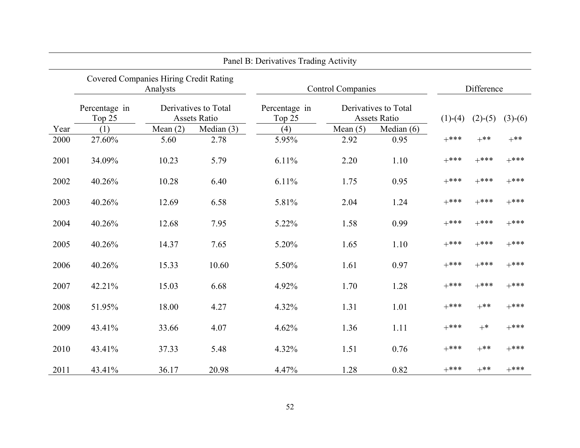| Panel B: Derivatives Trading Activity |                                                           |            |                                      |                          |            |                                      |            |           |           |
|---------------------------------------|-----------------------------------------------------------|------------|--------------------------------------|--------------------------|------------|--------------------------------------|------------|-----------|-----------|
|                                       | <b>Covered Companies Hiring Credit Rating</b><br>Analysts |            |                                      | <b>Control Companies</b> |            |                                      | Difference |           |           |
|                                       | Percentage in<br>Top 25                                   |            | Derivatives to Total<br>Assets Ratio | Percentage in<br>Top 25  |            | Derivatives to Total<br>Assets Ratio | $(1)-(4)$  | $(2)-(5)$ | $(3)-(6)$ |
| Year                                  | (1)                                                       | Mean $(2)$ | Median $(3)$                         | (4)                      | Mean $(5)$ | Median $(6)$                         |            |           |           |
| 2000                                  | 27.60%                                                    | 5.60       | 2.78                                 | 5.95%                    | 2.92       | 0.95                                 | $+***$     | $+***$    | $+***$    |
| 2001                                  | 34.09%                                                    | 10.23      | 5.79                                 | 6.11%                    | 2.20       | 1.10                                 | $+***$     | $+***$    | $+***$    |
| 2002                                  | 40.26%                                                    | 10.28      | 6.40                                 | 6.11%                    | 1.75       | 0.95                                 | $+***$     | $+***$    | $+***$    |
| 2003                                  | 40.26%                                                    | 12.69      | 6.58                                 | 5.81%                    | 2.04       | 1.24                                 | $+***$     | $+***$    | $+***$    |
| 2004                                  | 40.26%                                                    | 12.68      | 7.95                                 | 5.22%                    | 1.58       | 0.99                                 | $+***$     | $+***$    | $+***$    |
| 2005                                  | 40.26%                                                    | 14.37      | 7.65                                 | 5.20%                    | 1.65       | 1.10                                 | $+***$     | $+***$    | $+***$    |
| 2006                                  | 40.26%                                                    | 15.33      | 10.60                                | 5.50%                    | 1.61       | 0.97                                 | $+***$     | $+***$    | $+***$    |
| 2007                                  | 42.21%                                                    | 15.03      | 6.68                                 | 4.92%                    | 1.70       | 1.28                                 | $+***$     | $+***$    | $+***$    |
| 2008                                  | 51.95%                                                    | 18.00      | 4.27                                 | 4.32%                    | 1.31       | 1.01                                 | $+***$     | $+***$    | $+***$    |
| 2009                                  | 43.41%                                                    | 33.66      | 4.07                                 | 4.62%                    | 1.36       | 1.11                                 | $+***$     | $+*$      | $+***$    |
| 2010                                  | 43.41%                                                    | 37.33      | 5.48                                 | 4.32%                    | 1.51       | 0.76                                 | $+***$     | $+***$    | $+***$    |
| 2011                                  | 43.41%                                                    | 36.17      | 20.98                                | 4.47%                    | 1.28       | 0.82                                 | $+***$     | $+***$    | $+***$    |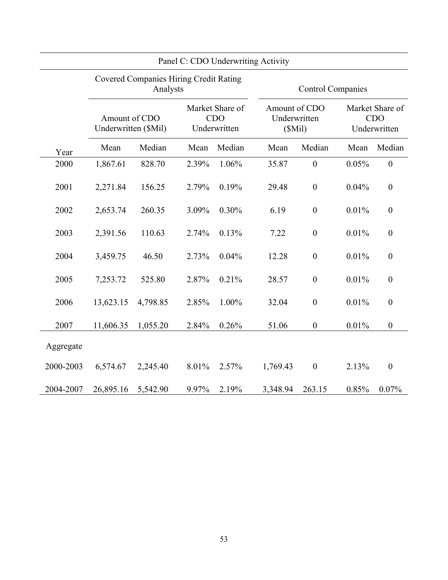| Panel C: CDO Underwriting Activity |                                                           |          |                                               |                          |                                         |                  |                                               |                  |
|------------------------------------|-----------------------------------------------------------|----------|-----------------------------------------------|--------------------------|-----------------------------------------|------------------|-----------------------------------------------|------------------|
|                                    | <b>Covered Companies Hiring Credit Rating</b><br>Analysts |          |                                               | <b>Control Companies</b> |                                         |                  |                                               |                  |
|                                    | Amount of CDO<br>Underwritten (\$Mil)                     |          | Market Share of<br><b>CDO</b><br>Underwritten |                          | Amount of CDO<br>Underwritten<br>(SMil) |                  | Market Share of<br><b>CDO</b><br>Underwritten |                  |
| Year                               | Mean                                                      | Median   | Mean                                          | Median                   | Mean                                    | Median           | Mean                                          | Median           |
| 2000                               | 1,867.61                                                  | 828.70   | 2.39%                                         | 1.06%                    | 35.87                                   | $\boldsymbol{0}$ | 0.05%                                         | $\boldsymbol{0}$ |
| 2001                               | 2,271.84                                                  | 156.25   | 2.79%                                         | 0.19%                    | 29.48                                   | $\boldsymbol{0}$ | 0.04%                                         | $\boldsymbol{0}$ |
| 2002                               | 2,653.74                                                  | 260.35   | 3.09%                                         | 0.30%                    | 6.19                                    | $\boldsymbol{0}$ | 0.01%                                         | $\boldsymbol{0}$ |
| 2003                               | 2,391.56                                                  | 110.63   | 2.74%                                         | 0.13%                    | 7.22                                    | $\boldsymbol{0}$ | 0.01%                                         | $\boldsymbol{0}$ |
| 2004                               | 3,459.75                                                  | 46.50    | 2.73%                                         | 0.04%                    | 12.28                                   | $\boldsymbol{0}$ | 0.01%                                         | $\boldsymbol{0}$ |
| 2005                               | 7,253.72                                                  | 525.80   | 2.87%                                         | 0.21%                    | 28.57                                   | $\boldsymbol{0}$ | 0.01%                                         | $\boldsymbol{0}$ |
| 2006                               | 13,623.15                                                 | 4,798.85 | 2.85%                                         | 1.00%                    | 32.04                                   | $\boldsymbol{0}$ | 0.01%                                         | $\boldsymbol{0}$ |
| 2007                               | 11,606.35                                                 | 1,055.20 | 2.84%                                         | 0.26%                    | 51.06                                   | $\boldsymbol{0}$ | 0.01%                                         | $\boldsymbol{0}$ |
| Aggregate                          |                                                           |          |                                               |                          |                                         |                  |                                               |                  |
| 2000-2003                          | 6,574.67                                                  | 2,245.40 | 8.01%                                         | 2.57%                    | 1,769.43                                | $\boldsymbol{0}$ | 2.13%                                         | $\overline{0}$   |
| 2004-2007                          | 26,895.16                                                 | 5,542.90 | 9.97%                                         | 2.19%                    | 3,348.94                                | 263.15           | 0.85%                                         | 0.07%            |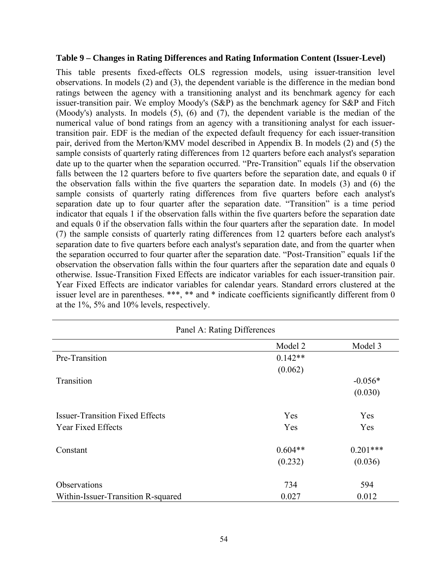# **Table 9 – Changes in Rating Differences and Rating Information Content (Issuer-Level)**

This table presents fixed-effects OLS regression models, using issuer-transition level observations. In models (2) and (3), the dependent variable is the difference in the median bond ratings between the agency with a transitioning analyst and its benchmark agency for each issuer-transition pair. We employ Moody's (S&P) as the benchmark agency for S&P and Fitch (Moody's) analysts. In models (5), (6) and (7), the dependent variable is the median of the numerical value of bond ratings from an agency with a transitioning analyst for each issuertransition pair. EDF is the median of the expected default frequency for each issuer-transition pair, derived from the Merton/KMV model described in Appendix B. In models (2) and (5) the sample consists of quarterly rating differences from 12 quarters before each analyst's separation date up to the quarter when the separation occurred. "Pre-Transition" equals 1if the observation falls between the 12 quarters before to five quarters before the separation date, and equals 0 if the observation falls within the five quarters the separation date. In models (3) and (6) the sample consists of quarterly rating differences from five quarters before each analyst's separation date up to four quarter after the separation date. "Transition" is a time period indicator that equals 1 if the observation falls within the five quarters before the separation date and equals 0 if the observation falls within the four quarters after the separation date. In model (7) the sample consists of quarterly rating differences from 12 quarters before each analyst's separation date to five quarters before each analyst's separation date, and from the quarter when the separation occurred to four quarter after the separation date. "Post-Transition" equals 1if the observation the observation falls within the four quarters after the separation date and equals 0 otherwise. Issue-Transition Fixed Effects are indicator variables for each issuer-transition pair. Year Fixed Effects are indicator variables for calendar years. Standard errors clustered at the issuer level are in parentheses. \*\*\*, \*\* and \* indicate coefficients significantly different from 0 at the 1%, 5% and 10% levels, respectively.

| Panel A: Rating Differences            |           |            |  |  |  |
|----------------------------------------|-----------|------------|--|--|--|
|                                        | Model 2   | Model 3    |  |  |  |
| Pre-Transition                         | $0.142**$ |            |  |  |  |
|                                        | (0.062)   |            |  |  |  |
| Transition                             |           | $-0.056*$  |  |  |  |
|                                        |           | (0.030)    |  |  |  |
| <b>Issuer-Transition Fixed Effects</b> | Yes       | Yes        |  |  |  |
| <b>Year Fixed Effects</b>              | Yes       | Yes        |  |  |  |
| Constant                               | $0.604**$ | $0.201***$ |  |  |  |
|                                        | (0.232)   | (0.036)    |  |  |  |
| Observations                           | 734       | 594        |  |  |  |
| Within-Issuer-Transition R-squared     | 0.027     | 0.012      |  |  |  |